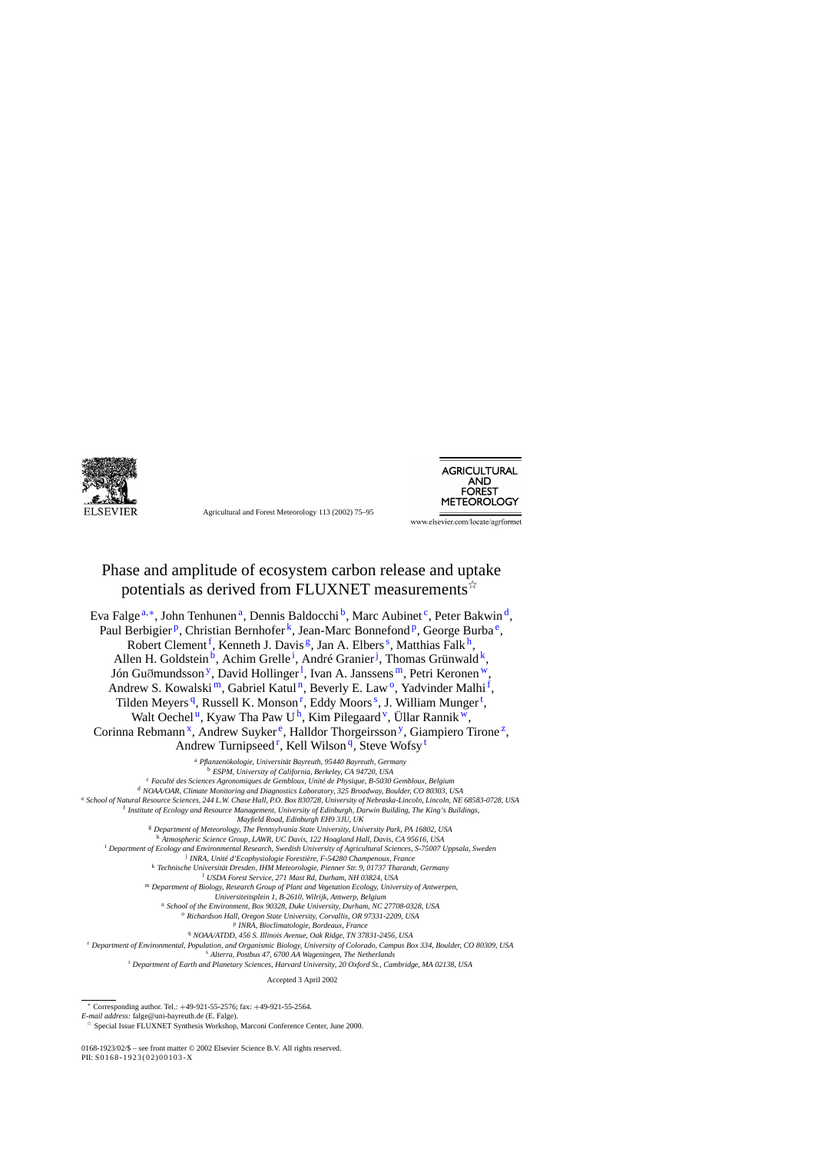

Agricultural and Forest Meteorology 113 (2002) 75–95



www.elsevier.com/locate/agrformet

# Phase and amplitude of ecosystem carbon release and uptake potentials as derived from FLUXNET measurements  $\vec{x}$

Eva Falge  $a, *$ , John Tenhunen  $a$ , Dennis Baldocchi  $b$ , Marc Aubinet  $c$ , Peter Bakwin  $d$ , Paul Berbigier<sup>p</sup>, Christian Bernhofer<sup>k</sup>, Jean-Marc Bonnefond<sup>p</sup>, George Burba<sup>e</sup>, Robert Clement<sup>f</sup>, Kenneth J. Davis<sup>g</sup>, Jan A. Elbers<sup>s</sup>, Matthias Falk<sup>h</sup>, Allen H. Goldstein<sup>b</sup>, Achim Grelle<sup>i</sup>, André Granier<sup>j</sup>, Thomas Grünwald<sup>k</sup>, Jón Guðmundsson<sup>y</sup>, [D](#page-1-0)avid Hollinger<sup>1</sup>, Ivan A. Janssens<sup>m</sup>, Petri Keronen<sup>w</sup>, Andrew S. Kowalski<sup>m</sup>, Gabriel Katul<sup>n</sup>, Beverly E. Law<sup>o</sup>, Yadvinder Malhi<sup>f</sup>, Tilden Meyers<sup>q</sup>, Russell K. Monson<sup>r</sup>, Eddy Moors<sup>s</sup>, J. William Munger<sup>t</sup>, Walt Oechel<sup>u</sup>, [K](#page-1-0)yaw Tha Paw U<sup>h</sup>, Kim Pilegaard<sup>v</sup>, [Ü](#page-1-0)llar Rannik<sup>w</sup>, Corinna Rebmann<sup>x</sup>, [A](#page-1-0)ndrew Suyker<sup>e</sup>, Halldor Thorgeirsson<sup>y</sup>, [G](#page-1-0)iampiero Tirone<sup>z</sup>, Andrew Turnipseed<sup>r</sup>, Kell Wilson<sup>q</sup>, Steve Wofsy<sup>t</sup>

> <sup>a</sup> *Pflanzenökologie, Universität Bayreuth, 95440 Bayreuth, Germany* <sup>b</sup> *ESPM, University of California, Berkeley, CA 94720, USA*

<sup>c</sup> *Faculté des Sciences Agronomiques de Gembloux, Unité de Physique, B-5030 Gembloux, Belgium*

<sup>d</sup> *NOAA/OAR, Climate Monitoring and Diagnostics Laboratory, 325 Broadway, Boulder, CO 80303, USA*

<sup>e</sup> *School of Natural Resource Sciences, 244 L.W. Chase Hall, P.O. Box 830728, University of Nebraska-Lincoln, Lincoln, NE 68583-0728, USA*

<sup>f</sup> *Institute of Ecology and Resource Management, University of Edinburgh, Darwin Building, The King's Buildings,*

*Mayfield Road, Edinburgh EH9 3JU, UK*

<sup>g</sup> *Department of Meteorology, The Pennsylvania State University, University Park, PA 16802, USA*

<sup>h</sup> *Atmospheric Science Group, LAWR, UC Davis, 122 Hoagland Hall, Davis, CA 95616, USA*

<sup>i</sup> *Department of Ecology and Environmental Research, Swedish University of Agricultural Sciences, S-75007 Uppsala, Sweden*

<sup>j</sup> *INRA, Unité d'Ecophysiologie Forestière, F-54280 Champenoux, France*

<sup>k</sup> *Technische Universität Dresden, IHM Meteorologie, Pienner Str. 9, 01737 Tharandt, Germany*

<sup>l</sup> *USDA Forest Service, 271 Mast Rd, Durham, NH 03824, USA*

<sup>m</sup> *Department of Biology, Research Group of Plant and Vegetation Ecology, University of Antwerpen,*

*Universiteitsplein 1, B-2610, Wilrijk, Antwerp, Belgium*

<sup>n</sup> *School of the Environment, Box 90328, Duke University, Durham, NC 27708-0328, USA*

<sup>o</sup> *Richardson Hall, Oregon State University, Corvallis, OR 97331-2209, USA*

<sup>p</sup> *INRA, Bioclimatologie, Bordeaux, France*

<sup>q</sup> *NOAA/ATDD, 456 S. Illinois Avenue, Oak Ridge, TN 37831-2456, USA*

<sup>r</sup> *Department of Environmental, Population, and Organismic Biology, University of Colorado, Campus Box 334, Boulder, CO 80309, USA*

<sup>s</sup> *Alterra, Postbus 47, 6700 AA Wageningen, The Netherlands*

<sup>t</sup> *Department of Earth and Planetary Sciences, Harvard University, 20 Oxford St., Cambridge, MA 02138, USA*

Accepted 3 April 2002

<sup>∗</sup> Corresponding author. Tel.: +49-921-55-2576; fax: +49-921-55-2564.

0168-1923/02/\$ – see front matter © 2002 Elsevier Science B.V. All rights reserved. PII: S0168-1923(02)00103-X

*E-mail address:* falge@uni-bayreuth.de (E. Falge).

 $\overrightarrow{\ }$  Special Issue FLUXNET Synthesis Workshop, Marconi Conference Center, June 2000.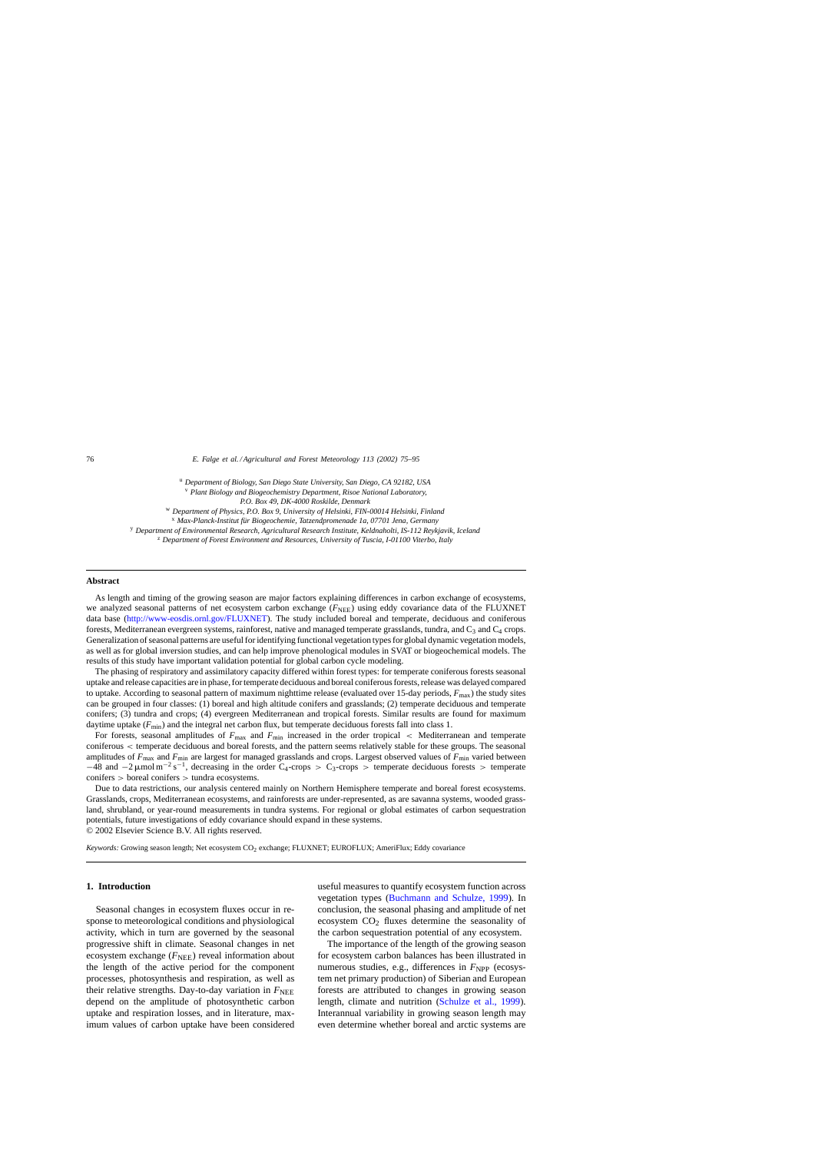<span id="page-1-0"></span>76 *E. Falge et al. / Agricultural and Forest Meteorology 113 (2002) 75–95*

<sup>u</sup> *Department of Biology, San Diego State University, San Diego, CA 92182, USA* <sup>v</sup> *Plant Biology and Biogeochemistry Department, Risoe National Laboratory,*

*P.O. Box 49, DK-4000 Roskilde, Denmark*

<sup>w</sup> *Department of Physics, P.O. Box 9, University of Helsinki, FIN-00014 Helsinki, Finland*

<sup>x</sup> *Max-Planck-Institut für Biogeochemie, Tatzendpromenade 1a, 07701 Jena, Germany*

<sup>y</sup> *Department of Environmental Research, Agricultural Research Institute, Keldnaholti, IS-112 Reykjavik, Iceland*

<sup>z</sup> *Department of Forest Environment and Resources, University of Tuscia, I-01100 Viterbo, Italy*

#### **Abstract**

As length and timing of the growing season are major factors explaining differences in carbon exchange of ecosystems, we analyzed seasonal patterns of net ecosystem carbon exchange ( $F<sub>NFE</sub>$ ) using eddy covariance data of the FLUXNET data base [\(http://www-eosdis.ornl.gov/FLUXNET](http://www-eosdis.ornl.gov/FLUXNET)). The study included boreal and temperate, deciduous and coniferous forests, Mediterranean evergreen systems, rainforest, native and managed temperate grasslands, tundra, and  $C_3$  and  $C_4$  crops. Generalization of seasonal patterns are useful for identifying functional vegetation types for global dynamic vegetation models, as well as for global inversion studies, and can help improve phenological modules in SVAT or biogeochemical models. The results of this study have important validation potential for global carbon cycle modeling.

The phasing of respiratory and assimilatory capacity differed within forest types: for temperate coniferous forests seasonal uptake and release capacities are in phase, for temperate deciduous and boreal coniferous forests, release was delayed compared to uptake. According to seasonal pattern of maximum nighttime release (evaluated over 15-day periods,  $F_{\text{max}}$ ) the study sites can be grouped in four classes: (1) boreal and high altitude conifers and grasslands; (2) temperate deciduous and temperate conifers; (3) tundra and crops; (4) evergreen Mediterranean and tropical forests. Similar results are found for maximum daytime uptake  $(F_{\text{min}})$  and the integral net carbon flux, but temperate deciduous forests fall into class 1.

For forests, seasonal amplitudes of  $F_{\text{max}}$  and  $F_{\text{min}}$  increased in the order tropical < Mediterranean and temperate coniferous < temperate deciduous and boreal forests, and the pattern seems relatively stable for these groups. The seasonal amplitudes of  $F_{\text{max}}$  and  $F_{\text{min}}$  are largest for managed grasslands and crops. Largest observed values of  $F_{\text{min}}$  varied between  $-48$  and  $-2 \mu$ mol m<sup>-2</sup> s<sup>-1</sup>, decreasing in the order C<sub>4</sub>-crops > C<sub>3</sub>-crops > temperate deciduous forests > temperate conifers > boreal conifers > tundra ecosystems.

Due to data restrictions, our analysis centered mainly on Northern Hemisphere temperate and boreal forest ecosystems. Grasslands, crops, Mediterranean ecosystems, and rainforests are under-represented, as are savanna systems, wooded grassland, shrubland, or year-round measurements in tundra systems. For regional or global estimates of carbon sequestration potentials, future investigations of eddy covariance should expand in these systems. © 2002 Elsevier Science B.V. All rights reserved.

Keywords: Growing season length; Net ecosystem CO<sub>2</sub> exchange; FLUXNET; EUROFLUX; AmeriFlux; Eddy covariance

## **1. Introduction**

Seasonal changes in ecosystem fluxes occur in response to meteorological conditions and physiological activity, which in turn are governed by the seasonal progressive shift in climate. Seasonal changes in net ecosystem exchange  $(F<sub>NEE</sub>)$  reveal information about the length of the active period for the component processes, photosynthesis and respiration, as well as their relative strengths. Day-to-day variation in  $F_{\text{NEE}}$ depend on the amplitude of photosynthetic carbon uptake and respiration losses, and in literature, maximum values of carbon uptake have been considered useful measures to quantify ecosystem function across vegetation types ([Buchmann and Schulze, 1999\)](#page-18-0). In conclusion, the seasonal phasing and amplitude of net ecosystem  $CO<sub>2</sub>$  fluxes determine the seasonality of the carbon sequestration potential of any ecosystem.

The importance of the length of the growing season for ecosystem carbon balances has been illustrated in numerous studies, e.g., differences in  $F_{\text{NPP}}$  (ecosystem net primary production) of Siberian and European forests are attributed to changes in growing season length, climate and nutrition [\(Schulze et al., 1999\)](#page-20-0). Interannual variability in growing season length may even determine whether boreal and arctic systems are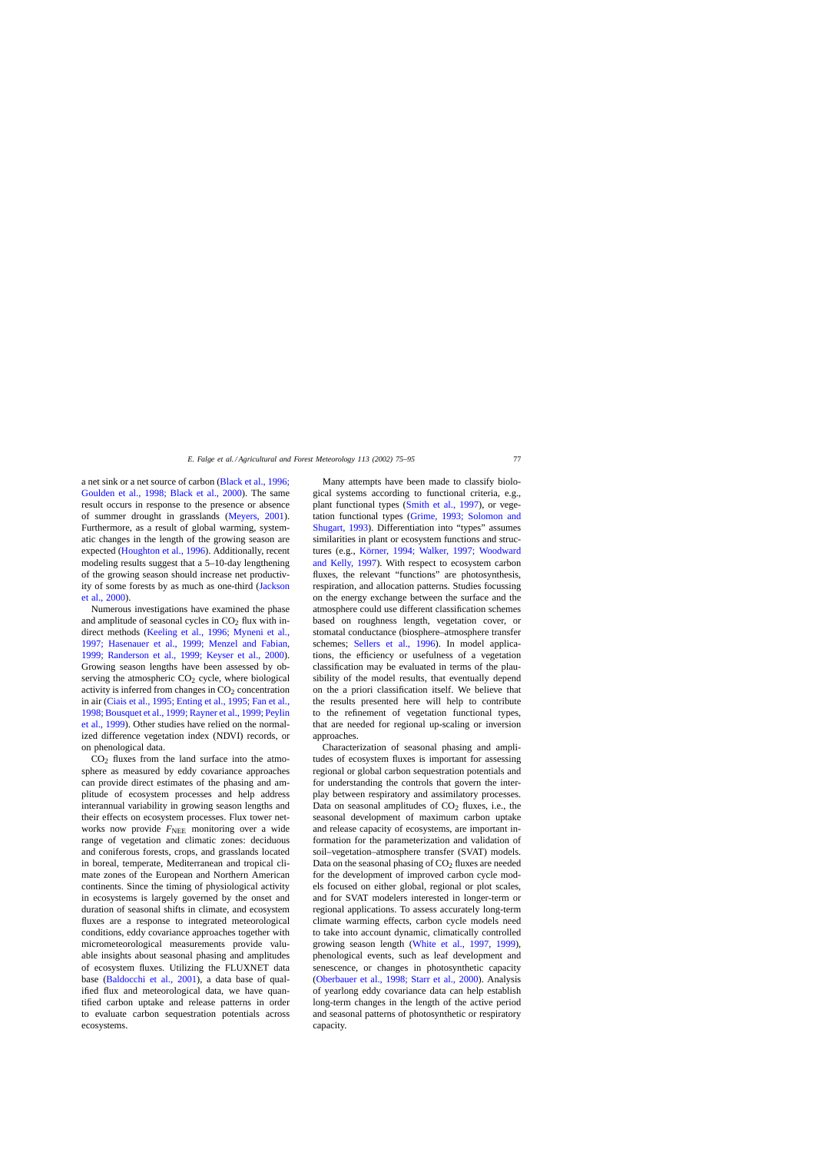a net sink or a net source of carbon [\(Black et al., 1996;](#page-18-0) [Goulden et al., 1998; Black et al., 2000](#page-18-0)). The same result occurs in response to the presence or absence of summer drought in grasslands [\(Meyers, 2001\)](#page-19-0). Furthermore, as a result of global warming, systematic changes in the length of the growing season are expected [\(Houghton et al., 1996\).](#page-19-0) Additionally, recent modeling results suggest that a 5–10-day lengthening of the growing season should increase net productivity of some forests by as much as one-third ([Jackson](#page-19-0) [et al., 2000\).](#page-19-0)

Numerous investigations have examined the phase and amplitude of seasonal cycles in  $CO<sub>2</sub>$  flux with indirect methods [\(Keeling et al., 1996; Myneni et al.,](#page-19-0) [1997; Hasenauer et al., 1999; Menzel and Fabian,](#page-19-0) [1999; Randerson et al., 1999; Keyser et al., 200](#page-19-0)0). Growing season lengths have been assessed by observing the atmospheric  $CO<sub>2</sub>$  cycle, where biological activity is inferred from changes in  $CO<sub>2</sub>$  concentration in air ([Ciais et al., 1995; Enting et al., 1995; Fan et al.,](#page-18-0) [1998; Bousquet et al., 1999; Rayner et al., 1999; Peylin](#page-18-0) [et al., 1999\).](#page-18-0) Other studies have relied on the normalized difference vegetation index (NDVI) records, or on phenological data.

 $CO<sub>2</sub>$  fluxes from the land surface into the atmosphere as measured by eddy covariance approaches can provide direct estimates of the phasing and amplitude of ecosystem processes and help address interannual variability in growing season lengths and their effects on ecosystem processes. Flux tower networks now provide  $F_{\text{NEE}}$  monitoring over a wide range of vegetation and climatic zones: deciduous and coniferous forests, crops, and grasslands located in boreal, temperate, Mediterranean and tropical climate zones of the European and Northern American continents. Since the timing of physiological activity in ecosystems is largely governed by the onset and duration of seasonal shifts in climate, and ecosystem fluxes are a response to integrated meteorological conditions, eddy covariance approaches together with micrometeorological measurements provide valuable insights about seasonal phasing and amplitudes of ecosystem fluxes. Utilizing the FLUXNET data base ([Baldocchi et al., 2001\)](#page-18-0), a data base of qualified flux and meteorological data, we have quantified carbon uptake and release patterns in order to evaluate carbon sequestration potentials across ecosystems.

Many attempts have been made to classify biological systems according to functional criteria, e.g., plant functional types ([Smith et al., 1997\)](#page-20-0), or vegetation functional types [\(Grime, 1993; Solomon and](#page-19-0) [Shugart, 1993\).](#page-19-0) Differentiation into "types" assumes similarities in plant or ecosystem functions and structures (e.g., [Körner, 1994; Walker, 1997; Woodward](#page-19-0) [and Kelly, 1997\)](#page-19-0). With respect to ecosystem carbon fluxes, the relevant "functions" are photosynthesis, respiration, and allocation patterns. Studies focussing on the energy exchange between the surface and the atmosphere could use different classification schemes based on roughness length, vegetation cover, or stomatal conductance (biosphere–atmosphere transfer schemes; [Sellers et al., 1996](#page-20-0)). In model applications, the efficiency or usefulness of a vegetation classification may be evaluated in terms of the plausibility of the model results, that eventually depend on the a priori classification itself. We believe that the results presented here will help to contribute to the refinement of vegetation functional types, that are needed for regional up-scaling or inversion approaches.

Characterization of seasonal phasing and amplitudes of ecosystem fluxes is important for assessing regional or global carbon sequestration potentials and for understanding the controls that govern the interplay between respiratory and assimilatory processes. Data on seasonal amplitudes of  $CO<sub>2</sub>$  fluxes, i.e., the seasonal development of maximum carbon uptake and release capacity of ecosystems, are important information for the parameterization and validation of soil–vegetation–atmosphere transfer (SVAT) models. Data on the seasonal phasing of  $CO<sub>2</sub>$  fluxes are needed for the development of improved carbon cycle models focused on either global, regional or plot scales, and for SVAT modelers interested in longer-term or regional applications. To assess accurately long-term climate warming effects, carbon cycle models need to take into account dynamic, climatically controlled growing season length [\(White et al., 1997, 1999](#page-20-0)), phenological events, such as leaf development and senescence, or changes in photosynthetic capacity ([Oberbauer et al., 1998; Starr et al., 2000\)](#page-19-0). Analysis of yearlong eddy covariance data can help establish long-term changes in the length of the active period and seasonal patterns of photosynthetic or respiratory capacity.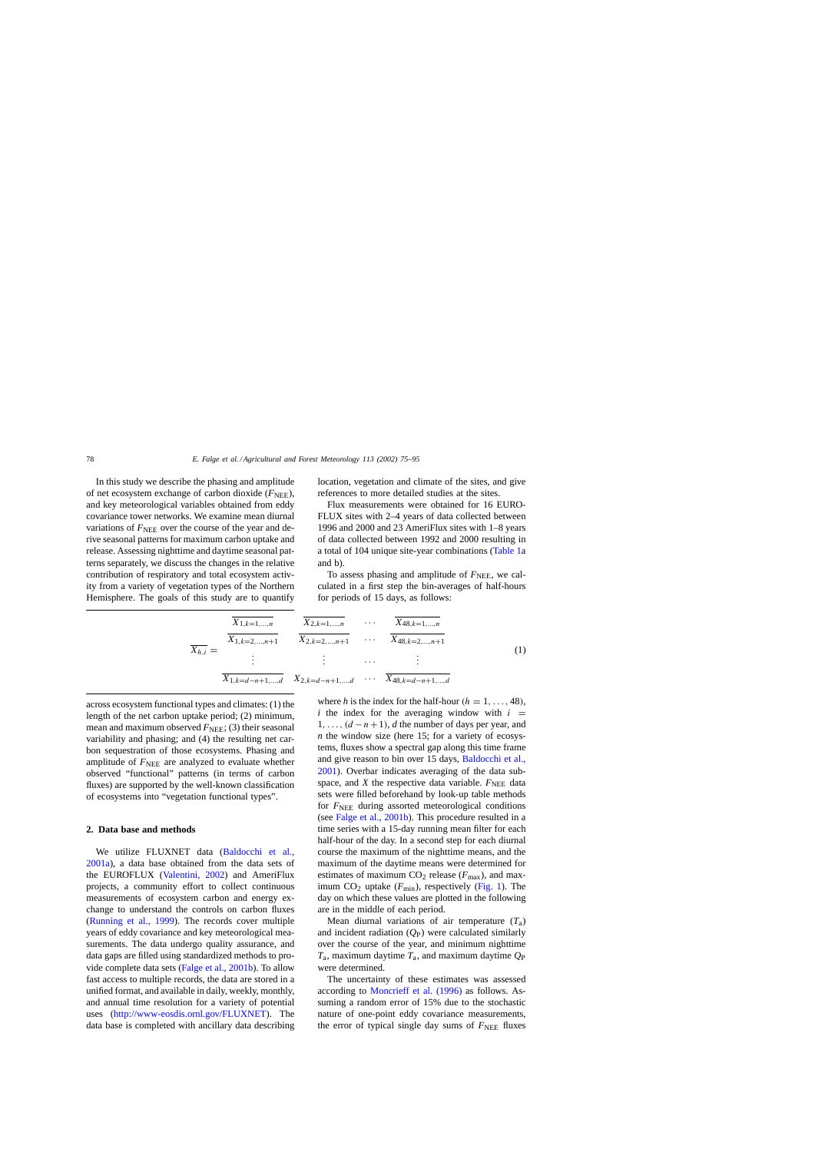<span id="page-3-0"></span>In this study we describe the phasing and amplitude of net ecosystem exchange of carbon dioxide ( $F_{\text{NEE}}$ ), and key meteorological variables obtained from eddy covariance tower networks. We examine mean diurnal variations of  $F<sub>NEE</sub>$  over the course of the year and derive seasonal patterns for maximum carbon uptake and release. Assessing nighttime and daytime seasonal patterns separately, we discuss the changes in the relative contribution of respiratory and total ecosystem activity from a variety of vegetation types of the Northern Hemisphere. The goals of this study are to quantify location, vegetation and climate of the sites, and give references to more detailed studies at the sites.

Flux measurements were obtained for 16 EURO-FLUX sites with 2–4 years of data collected between 1996 and 2000 and 23 AmeriFlux sites with 1–8 years of data collected between 1992 and 2000 resulting in a total of 104 unique site-year combinations ([Table 1a](#page-4-0) and b).

To assess phasing and amplitude of  $F<sub>NEE</sub>$ , we calculated in a first step the bin-averages of half-hours for periods of 15 days, as follows:

$$
\overline{X_{1,k=1,...,n}} \quad \overline{X_{2,k=1,...,n}}
$$
\n
$$
\overline{X_{48,k=1,...,n}}
$$
\n
$$
\overline{X_{48,k=2,...,n+1}}
$$
\n
$$
\overline{X_{48,k=2,...,n+1}}
$$
\n
$$
\overline{X_{48,k=2,...,n+1}}
$$
\n
$$
\overline{X_{48,k=2,...,n+1}}
$$
\n
$$
\overline{X_{48,k=2,...,n+1}}
$$
\n
$$
\overline{X_{48,k=2,...,n+1}}
$$
\n
$$
\overline{X_{48,k=4-n+1,...,d}}
$$
\n(1)

across ecosystem functional types and climates: (1) the length of the net carbon uptake period; (2) minimum, mean and maximum observed  $F_{\text{NEE}}$ ; (3) their seasonal variability and phasing; and (4) the resulting net carbon sequestration of those ecosystems. Phasing and amplitude of  $F_{\text{NEE}}$  are analyzed to evaluate whether observed "functional" patterns (in terms of carbon fluxes) are supported by the well-known classification of ecosystems into "vegetation functional types".

# **2. Data base and methods**

We utilize FLUXNET data ([Baldocchi et al.](#page-18-0), [2001a\),](#page-18-0) a data base obtained from the data sets of the EUROFLUX [\(Valentini, 2002\)](#page-20-0) and AmeriFlux projects, a community effort to collect continuous measurements of ecosystem carbon and energy exchange to understand the controls on carbon fluxes ([Running et al., 1999](#page-20-0)). The records cover multiple years of eddy covariance and key meteorological measurements. The data undergo quality assurance, and data gaps are filled using standardized methods to provide complete data sets ([Falge et al., 2001b\).](#page-18-0) To allow fast access to multiple records, the data are stored in a unified format, and available in daily, weekly, monthly, and annual time resolution for a variety of potential uses (<http://www-eosdis.ornl.gov/FLUXNET>). The data base is completed with ancillary data describing where *h* is the index for the half-hour ( $h = 1, \ldots, 48$ ), *i* the index for the averaging window with  $i =$  $1, \ldots, (d-n+1)$ , *d* the number of days per year, and *n* the window size (here 15; for a variety of ecosystems, fluxes show a spectral gap along this time frame and give reason to bin over 15 days, [Baldocchi et al.,](#page-18-0) [2001\).](#page-18-0) Overbar indicates averaging of the data subspace, and  $X$  the respective data variable.  $F_{\text{NEE}}$  data sets were filled beforehand by look-up table methods for  $F<sub>NEE</sub>$  during assorted meteorological conditions (see [Falge et al., 2001b\).](#page-18-0) This procedure resulted in a time series with a 15-day running mean filter for each half-hour of the day. In a second step for each diurnal course the maximum of the nighttime means, and the maximum of the daytime means were determined for estimates of maximum  $CO<sub>2</sub>$  release ( $F<sub>max</sub>$ ), and maximum  $CO<sub>2</sub>$  uptake ( $F<sub>min</sub>$ ), respectively ([Fig. 1\).](#page-6-0) The day on which these values are plotted in the following are in the middle of each period.

Mean diurnal variations of air temperature  $(T_a)$ and incident radiation (*Q*P) were calculated similarly over the course of the year, and minimum nighttime  $T_a$ , maximum daytime  $T_a$ , and maximum daytime  $Q_P$ were determined.

The uncertainty of these estimates was assessed according to [Moncrieff et al. \(1996\)](#page-19-0) as follows. Assuming a random error of 15% due to the stochastic nature of one-point eddy covariance measurements, the error of typical single day sums of  $F<sub>NEE</sub>$  fluxes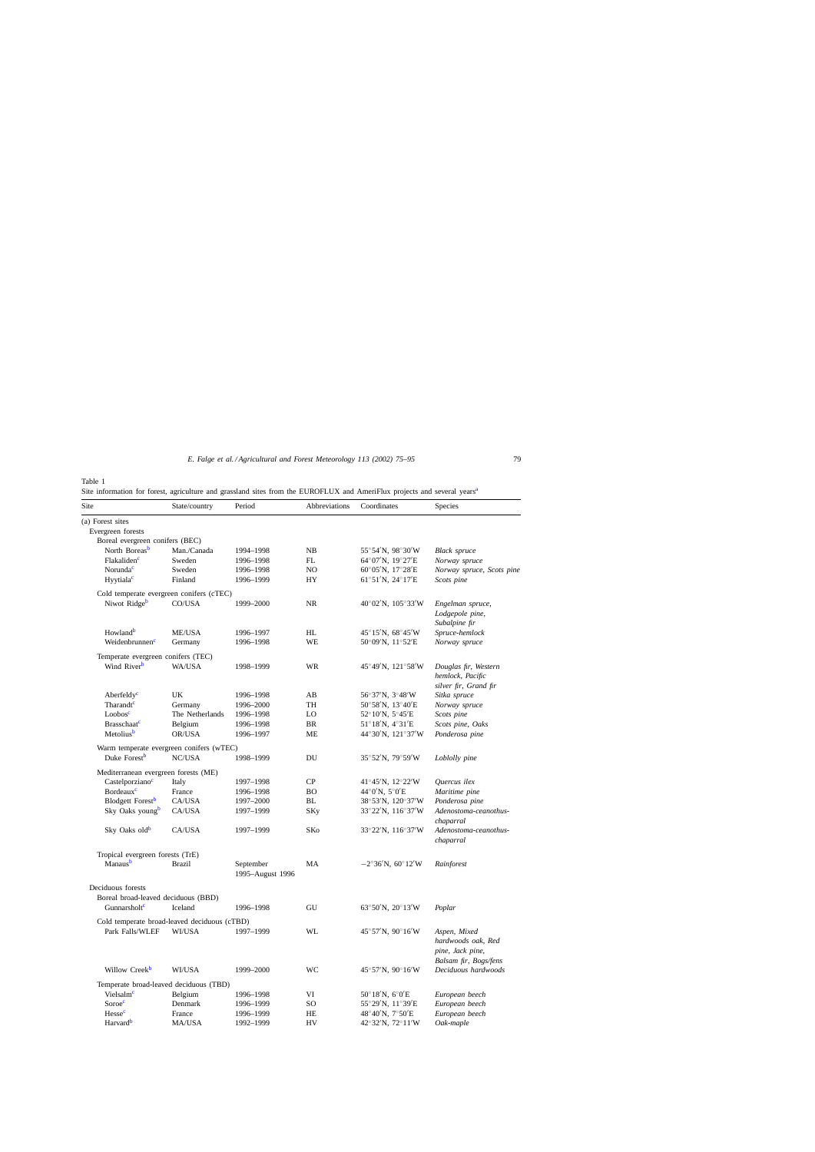<span id="page-4-0"></span>Site inform[a](#page-5-0)tion for forest, agriculture and grassland sites from the EUROFLUX and AmeriFlux projects and several years<sup>a</sup>

| Site                                                 | State/country   | Period                        | Abbreviations | Coordinates                                          | <b>Species</b>                     |
|------------------------------------------------------|-----------------|-------------------------------|---------------|------------------------------------------------------|------------------------------------|
|                                                      |                 |                               |               |                                                      |                                    |
| (a) Forest sites                                     |                 |                               |               |                                                      |                                    |
| Evergreen forests<br>Boreal evergreen conifers (BEC) |                 |                               |               |                                                      |                                    |
| North Boreas <sup>b</sup>                            | Man./Canada     | 1994-1998                     | NB            | $55^{\circ}54'$ N, 98°30′W                           | <b>Black</b> spruce                |
| Flakaliden <sup>c</sup>                              | Sweden          | 1996-1998                     | FL            | $64^{\circ}07'$ N, $19^{\circ}27'E$                  | Norway spruce                      |
| Norunda <sup>c</sup>                                 | Sweden          | 1996-1998                     | NO            | $60^{\circ}05'$ N, $17^{\circ}28'E$                  | Norway spruce, Scots pine          |
| Hyytiala <sup>c</sup>                                | Finland         | 1996-1999                     | HY            | 61°51'N, 24°17'E                                     | Scots pine                         |
| Cold temperate evergreen conifers (cTEC)             |                 |                               |               |                                                      |                                    |
| Niwot Ridge <sup>b</sup>                             | CO/USA          | 1999-2000                     | <b>NR</b>     | $40^{\circ}02'$ N, $105^{\circ}33'$ W                | Engelman spruce,                   |
|                                                      |                 |                               |               |                                                      | Lodgepole pine,                    |
|                                                      |                 |                               |               |                                                      | Subalpine fir                      |
| Howland <sup>b</sup>                                 | <b>ME/USA</b>   | 1996-1997                     | HL            | $45^{\circ}15'$ N, $68^{\circ}45'$ W                 | Spruce-hemlock                     |
| Weidenbrunnenc                                       | Germany         | 1996-1998                     | WE            | $50^{\circ}09'$ N, $11^{\circ}52'E$                  | Norway spruce                      |
| Temperate evergreen conifers (TEC)                   |                 |                               |               |                                                      |                                    |
| Wind River <sup>b</sup>                              | WA/USA          | 1998-1999                     | WR            | $45^{\circ}49'$ N, $121^{\circ}58'$ W                | Douglas fir, Western               |
|                                                      |                 |                               |               |                                                      | hemlock, Pacific                   |
|                                                      |                 |                               |               |                                                      | silver fir, Grand fir              |
| Aberfeldy <sup>c</sup>                               | UK              | 1996-1998                     | AВ            | $56^{\circ}37^{\prime}N$ , $3^{\circ}48^{\prime}W$   | Sitka spruce                       |
| Tharandt <sup>c</sup>                                | Germany         | 1996-2000                     | TH            | $50^{\circ}58'$ N, $13^{\circ}40'E$                  | Norway spruce                      |
| Loobos <sup>c</sup>                                  | The Netherlands | 1996-1998                     | LO            | $52^{\circ}10^{\prime}$ N, $5^{\circ}45^{\prime}$ E  | Scots pine                         |
| <b>Brasschaat</b> <sup>c</sup>                       | Belgium         | 1996-1998                     | BR            | $51^{\circ}18'$ N, $4^{\circ}31'E$                   | Scots pine, Oaks                   |
| Metolius <sup>b</sup>                                | OR/USA          | 1996-1997                     | ME            | 44°30'N, 121°37'W                                    | Ponderosa pine                     |
| Warm temperate evergreen conifers (wTEC)             |                 |                               |               |                                                      |                                    |
| Duke Forest <sup>b</sup>                             | NC/USA          | 1998-1999                     | DU            | $35^{\circ}52'$ N, 79 $^{\circ}59'$ W                | Loblolly pine                      |
| Mediterranean evergreen forests (ME)                 |                 |                               |               |                                                      |                                    |
| Castelporziano <sup>c</sup>                          | Italy           | 1997-1998                     | <b>CP</b>     | $41^{\circ}45'$ N, $12^{\circ}22'$ W                 | Quercus ilex                       |
| Bordeaux <sup>c</sup>                                | France          | 1996-1998                     | ВO            | $44^{\circ}0'$ N, $5^{\circ}0'E$                     | Maritime pine                      |
| <b>Blodgett Forest</b>                               | CA/USA          | 1997-2000                     | BL            | $38^{\circ}53'$ N, $120^{\circ}37'$ W                | Ponderosa pine                     |
| Sky Oaks youngb                                      | CA/USA          | 1997-1999                     | SKy           | $33^{\circ}22'$ N, $116^{\circ}37'$ W                | Adenostoma-ceanothus-<br>chaparral |
| Sky Oaks oldb                                        | CA/USA          | 1997-1999                     | SKo           | $33^{\circ}22'$ N, $116^{\circ}37'$ W                | Adenostoma-ceanothus-<br>chaparral |
| Tropical evergreen forests (TrE)                     |                 |                               |               |                                                      |                                    |
| Manaus <sup>b</sup>                                  | <b>Brazil</b>   | September<br>1995-August 1996 | MA            | $-2^{\circ}36'N$ , 60 $^{\circ}12'W$                 | Rainforest                         |
| Deciduous forests                                    |                 |                               |               |                                                      |                                    |
| Boreal broad-leaved deciduous (BBD)                  |                 |                               |               |                                                      |                                    |
| Gunnarsholt <sup>c</sup>                             | Iceland         | 1996-1998                     | GU            | $63^{\circ}50^{\prime}$ N, $20^{\circ}13^{\prime}$ W | Poplar                             |
| Cold temperate broad-leaved deciduous (cTBD)         |                 |                               |               |                                                      |                                    |
| Park Falls/WLEF                                      | WI/USA          | 1997–1999                     | WL            | $45^{\circ}57'$ N, $90^{\circ}16'$ W                 | Aspen, Mixed                       |
|                                                      |                 |                               |               |                                                      | hardwoods oak, Red                 |
|                                                      |                 |                               |               |                                                      | pine, Jack pine,                   |
|                                                      |                 |                               |               |                                                      | Balsam fir, Bogs/fens              |
| Willow Creek <sup>b</sup>                            | WI/USA          | 1999-2000                     | WC            | 45°57'N, 90°16'W                                     | Deciduous hardwoods                |
| Temperate broad-leaved deciduous (TBD)               |                 |                               |               |                                                      |                                    |
| Vielsalm <sup>c</sup>                                | Belgium         | 1996-1998                     | VI            | $50^{\circ}18'$ N, $6^{\circ}0'E$                    | European beech                     |
| Soroec                                               | Denmark         | 1996-1999                     | SO            | 55°29'N, 11°39'E                                     | European beech                     |
| Hesse <sup>c</sup>                                   | France          | 1996-1999                     | HE            | $48^{\circ}40'$ N, $7^{\circ}50'E$                   | European beech                     |
| Harvard <sup>b</sup>                                 | MA/USA          | 1992-1999                     | ${\rm HV}$    | 42°32'N, 72°11'W                                     | Oak-maple                          |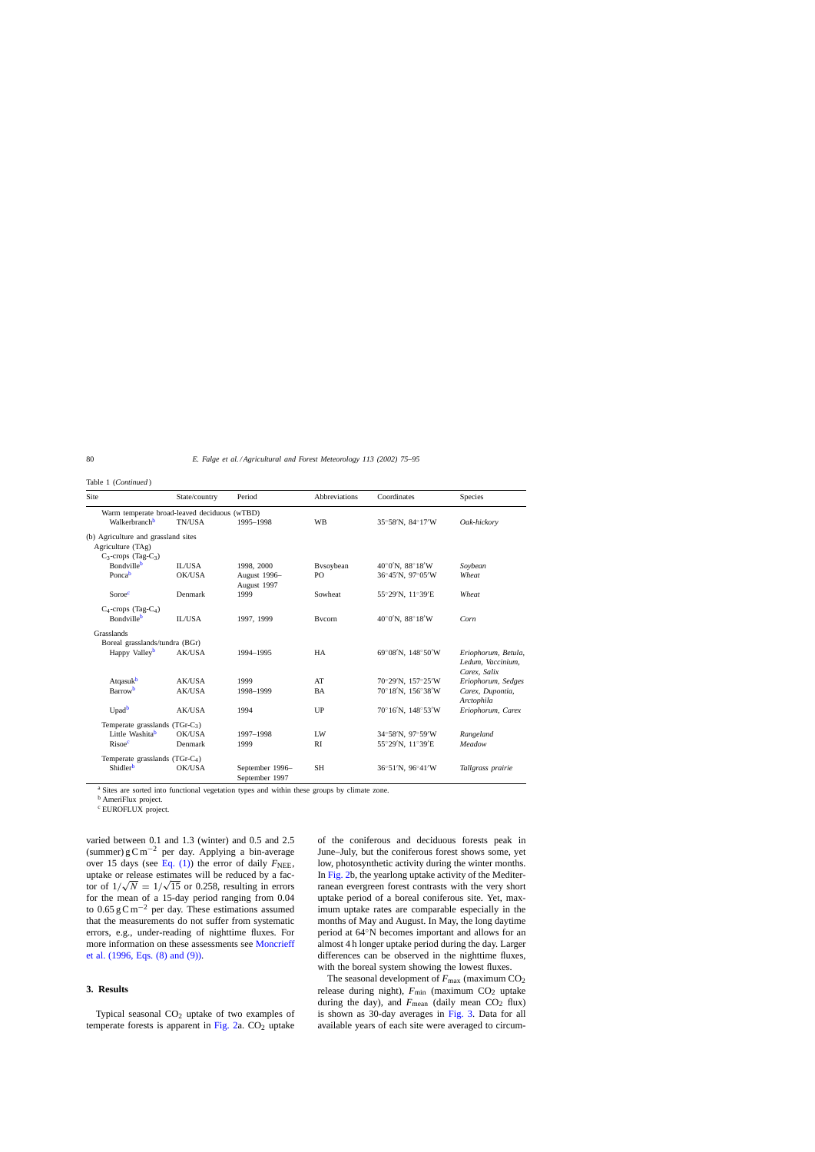<span id="page-5-0"></span>

| Table 1 ( <i>Continued</i> ) |  |  |  |
|------------------------------|--|--|--|
|------------------------------|--|--|--|

| Site                                                                                   | State/country | Period                            | Abbreviations | Coordinates                                         | Species                                                  |
|----------------------------------------------------------------------------------------|---------------|-----------------------------------|---------------|-----------------------------------------------------|----------------------------------------------------------|
| Warm temperate broad-leaved deciduous (wTBD)                                           |               |                                   |               |                                                     |                                                          |
| Walkerbranch <sup>b</sup>                                                              | TN/USA        | 1995-1998                         | WB            | 35°58'N, 84°17'W                                    | Oak-hickory                                              |
| (b) Agriculture and grassland sites<br>Agriculture (TAg)<br>$C_3$ -crops (Tag- $C_3$ ) |               |                                   |               |                                                     |                                                          |
| Bondville <sup>b</sup>                                                                 | <b>IL/USA</b> | 1998, 2000                        | Bysoybean     | $40^{\circ}0^{\prime}$ N, $88^{\circ}18^{\prime}$ W | Soybean                                                  |
| Poncab                                                                                 | OK/USA        | August 1996-<br>August 1997       | PO            | 36°45'N, 97°05'W                                    | Wheat                                                    |
| Soroec                                                                                 | Denmark       | 1999                              | Sowheat       | 55°29'N, 11°39'E                                    | Wheat                                                    |
| $C_4$ -crops (Tag- $C_4$ )<br>Bondville <sup>b</sup>                                   | <b>IL/USA</b> | 1997, 1999                        | Bycorn        | 40°0'N, 88°18'W                                     | Corn                                                     |
| Grasslands                                                                             |               |                                   |               |                                                     |                                                          |
| Boreal grasslands/tundra (BGr)                                                         |               |                                   |               |                                                     |                                                          |
| Happy Valley <sup>b</sup>                                                              | <b>AK/USA</b> | 1994-1995                         | HA            | $69^{\circ}08'$ N, $148^{\circ}50'$ W               | Eriophorum, Betula,<br>Ledum, Vaccinium,<br>Carex, Salix |
| Atqasuk <sup>b</sup>                                                                   | AK/USA        | 1999                              | AT            | 70°29′N, 157°25′W                                   | Eriophorum, Sedges                                       |
| Barrow <sup>b</sup>                                                                    | AK/USA        | 1998-1999                         | <b>BA</b>     | 70°18'N, 156°38'W                                   | Carex, Dupontia,<br>Arctophila                           |
| Upad <sup>b</sup>                                                                      | <b>AK/USA</b> | 1994                              | UP            | $70^{\circ}16'$ N, $148^{\circ}53'$ W               | Eriophorum, Carex                                        |
| Temperate grasslands $(TGr-C_3)$                                                       |               |                                   |               |                                                     |                                                          |
| Little Washitab                                                                        | OK/USA        | 1997-1998                         | LW            | $34^{\circ}58'$ N, $97^{\circ}59'$ W                | Rangeland                                                |
| Risoec                                                                                 | Denmark       | 1999                              | RI            | 55°29'N, 11°39'E                                    | Meadow                                                   |
| Temperate grasslands $(TGr-C4)$                                                        |               |                                   |               |                                                     |                                                          |
| Shidler <sup>b</sup>                                                                   | OK/USA        | September 1996-<br>September 1997 | <b>SH</b>     | $36^{\circ}51'$ N, $96^{\circ}41'$ W                | Tallgrass prairie                                        |

<sup>a</sup> Sites are sorted into functional vegetation types and within these groups by climate zone.

<sup>b</sup> AmeriFlux project.

<sup>c</sup> EUROFLUX project.

varied between 0.1 and 1.3 (winter) and 0.5 and 2.5 (summer) gCm<sup>-2</sup> per day. Applying a bin-average over 15 days (see Eq.  $(1)$ ) the error of daily  $F_{\text{NEE}}$ , uptake or release estimates will be reduced by a factor of  $1/\sqrt{N} = 1/\sqrt{15}$  or 0.258, resulting in errors for the mean of a 15-day period ranging from 0.04 to 0.65 g C m<sup>-2</sup> per day. These estimations assumed that the measurements do not suffer from systematic errors, e.g., under-reading of nighttime fluxes. For more information on these assessments see [Moncrieff](#page-19-0) [et al. \(1996, Eqs. \(8\) and \(9\)\).](#page-19-0)

# **3. Results**

Typical seasonal  $CO<sub>2</sub>$  uptake of two examples of temperate forests is apparent in Fig.  $2a$ .  $CO<sub>2</sub>$  uptake of the coniferous and deciduous forests peak in June–July, but the coniferous forest shows some, yet low, photosynthetic activity during the winter months. In [Fig. 2b,](#page-7-0) the yearlong uptake activity of the Mediterranean evergreen forest contrasts with the very short uptake period of a boreal coniferous site. Yet, maximum uptake rates are comparable especially in the months of May and August. In May, the long daytime period at 64◦N becomes important and allows for an almost 4 h longer uptake period during the day. Larger differences can be observed in the nighttime fluxes, with the boreal system showing the lowest fluxes.

The seasonal development of  $F_{\text{max}}$  (maximum  $CO_2$ ) release during night),  $F_{\text{min}}$  (maximum CO<sub>2</sub> uptake during the day), and  $F_{\text{mean}}$  (daily mean CO<sub>2</sub> flux) is shown as 30-day averages in [Fig. 3.](#page-9-0) Data for all available years of each site were averaged to circum-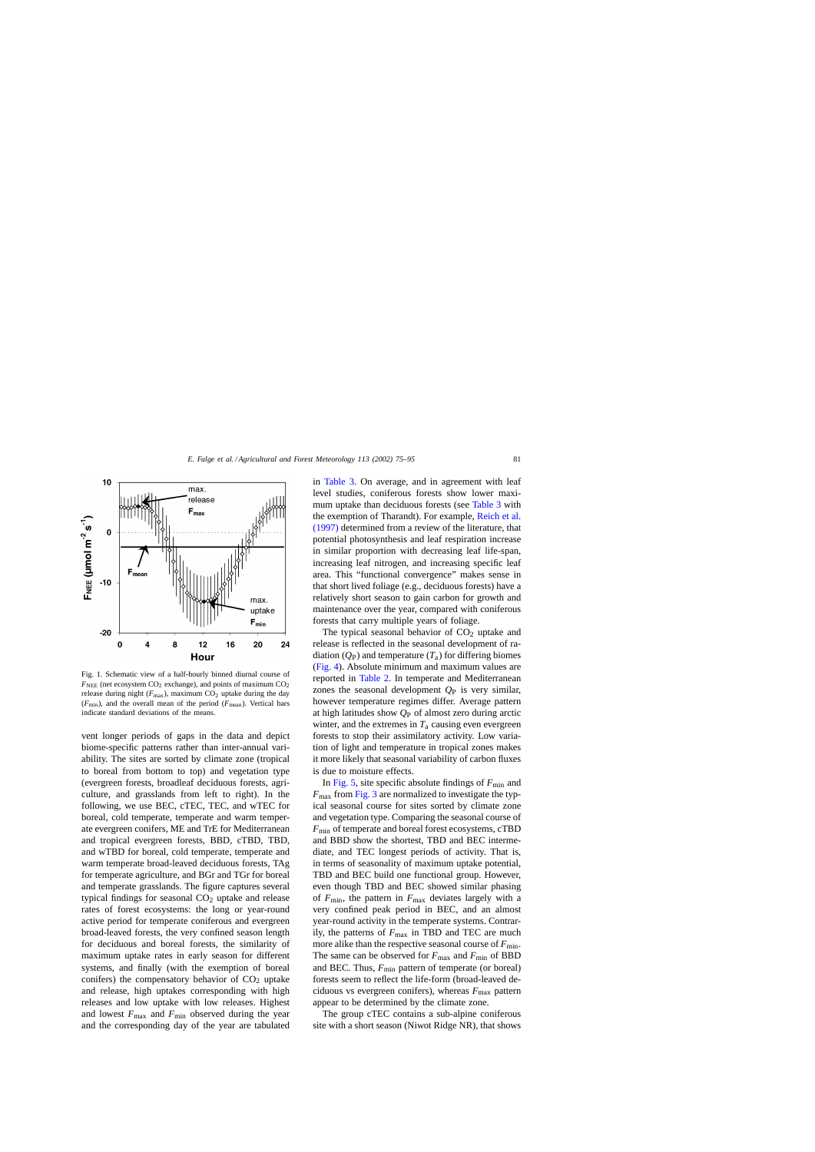<span id="page-6-0"></span>

Fig. 1. Schematic view of a half-hourly binned diurnal course of  $F_{\text{NEE}}$  (net ecosystem CO<sub>2</sub> exchange), and points of maximum CO<sub>2</sub> release during night  $(F_{\text{max}})$ , maximum  $CO_2$  uptake during the day  $(F_{\text{min}})$ , and the overall mean of the period  $(F_{\text{mean}})$ . Vertical bars indicate standard deviations of the means.

vent longer periods of gaps in the data and depict biome-specific patterns rather than inter-annual variability. The sites are sorted by climate zone (tropical to boreal from bottom to top) and vegetation type (evergreen forests, broadleaf deciduous forests, agriculture, and grasslands from left to right). In the following, we use BEC, cTEC, TEC, and wTEC for boreal, cold temperate, temperate and warm temperate evergreen conifers, ME and TrE for Mediterranean and tropical evergreen forests, BBD, cTBD, TBD, and wTBD for boreal, cold temperate, temperate and warm temperate broad-leaved deciduous forests, TAg for temperate agriculture, and BGr and TGr for boreal and temperate grasslands. The figure captures several typical findings for seasonal  $CO<sub>2</sub>$  uptake and release rates of forest ecosystems: the long or year-round active period for temperate coniferous and evergreen broad-leaved forests, the very confined season length for deciduous and boreal forests, the similarity of maximum uptake rates in early season for different systems, and finally (with the exemption of boreal conifers) the compensatory behavior of  $CO<sub>2</sub>$  uptake and release, high uptakes corresponding with high releases and low uptake with low releases. Highest and lowest  $F_{\text{max}}$  and  $F_{\text{min}}$  observed during the year and the corresponding day of the year are tabulated

in [Table 3.](#page-15-0) On average, and in agreement with leaf level studies, coniferous forests show lower maximum uptake than deciduous forests (see [Table 3](#page-15-0) with the exemption of Tharandt). For example, [Reich et al.](#page-20-0) [\(1997\)](#page-20-0) determined from a review of the literature, that potential photosynthesis and leaf respiration increase in similar proportion with decreasing leaf life-span, increasing leaf nitrogen, and increasing specific leaf area. This "functional convergence" makes sense in that short lived foliage (e.g., deciduous forests) have a relatively short season to gain carbon for growth and maintenance over the year, compared with coniferous forests that carry multiple years of foliage.

The typical seasonal behavior of  $CO<sub>2</sub>$  uptake and release is reflected in the seasonal development of radiation  $(Q_P)$  and temperature  $(T_a)$  for differing biomes ([Fig. 4\).](#page-10-0) Absolute minimum and maximum values are reported in [Table 2.](#page-10-0) In temperate and Mediterranean zones the seasonal development  $Q_P$  is very similar, however temperature regimes differ. Average pattern at high latitudes show *Q*<sup>P</sup> of almost zero during arctic winter, and the extremes in  $T_a$  causing even evergreen forests to stop their assimilatory activity. Low variation of light and temperature in tropical zones makes it more likely that seasonal variability of carbon fluxes is due to moisture effects.

In [Fig. 5, s](#page-11-0)ite specific absolute findings of  $F_{\text{min}}$  and  $F_{\text{max}}$  from [Fig. 3](#page-9-0) are normalized to investigate the typical seasonal course for sites sorted by climate zone and vegetation type. Comparing the seasonal course of *F*<sub>min</sub> of temperate and boreal forest ecosystems, cTBD and BBD show the shortest, TBD and BEC intermediate, and TEC longest periods of activity. That is, in terms of seasonality of maximum uptake potential, TBD and BEC build one functional group. However, even though TBD and BEC showed similar phasing of *F*min, the pattern in *F*max deviates largely with a very confined peak period in BEC, and an almost year-round activity in the temperate systems. Contrarily, the patterns of  $F_{\text{max}}$  in TBD and TEC are much more alike than the respective seasonal course of  $F_{\text{min}}$ . The same can be observed for  $F_{\text{max}}$  and  $F_{\text{min}}$  of BBD and BEC. Thus,  $F_{\text{min}}$  pattern of temperate (or boreal) forests seem to reflect the life-form (broad-leaved deciduous vs evergreen conifers), whereas *F*max pattern appear to be determined by the climate zone.

The group cTEC contains a sub-alpine coniferous site with a short season (Niwot Ridge NR), that shows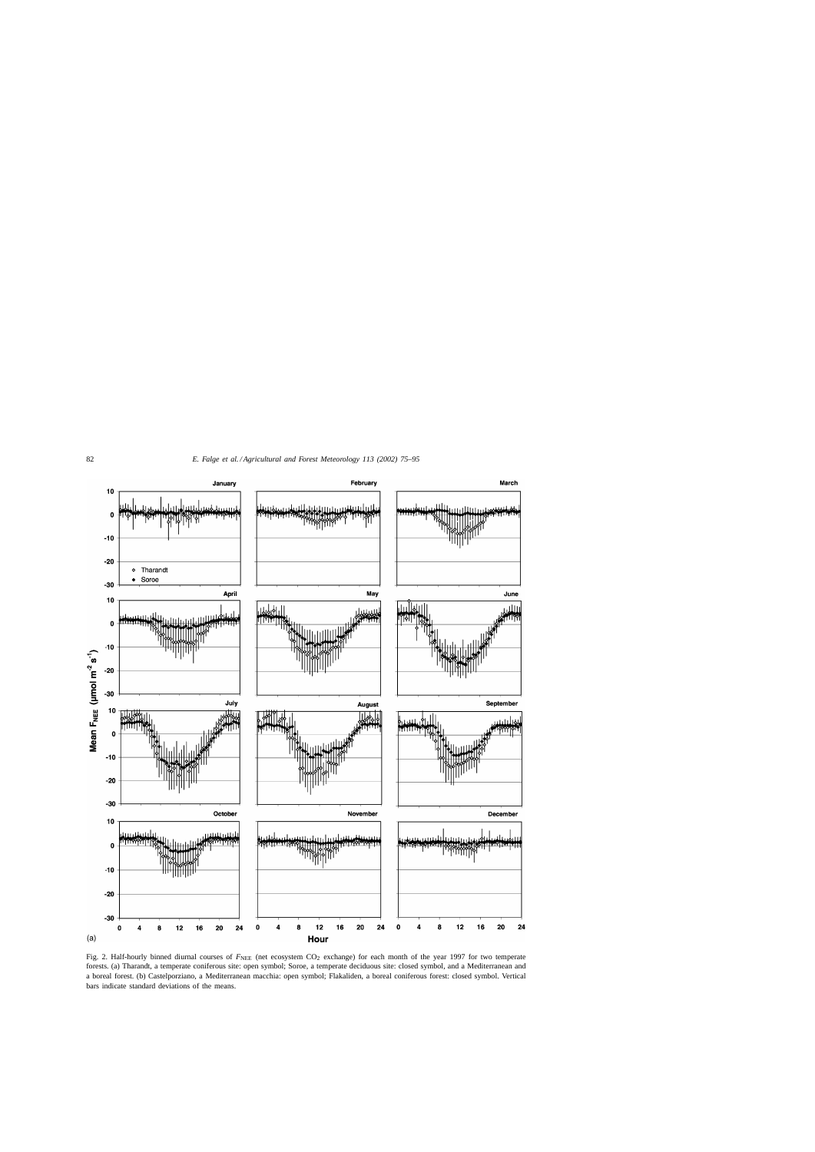<span id="page-7-0"></span>

Fig. 2. Half-hourly binned diurnal courses of  $F_{\text{NEE}}$  (net ecosystem CO<sub>2</sub> exchange) for each month of the year 1997 for two temperate forests. (a) Tharandt, a temperate coniferous site: open symbol; Soroe, a temperate deciduous site: closed symbol, and a Mediterranean and a boreal forest. (b) Castelporziano, a Mediterranean macchia: open symbol; Flakaliden, a boreal coniferous forest: closed symbol. Vertical bars indicate standard deviations of the means.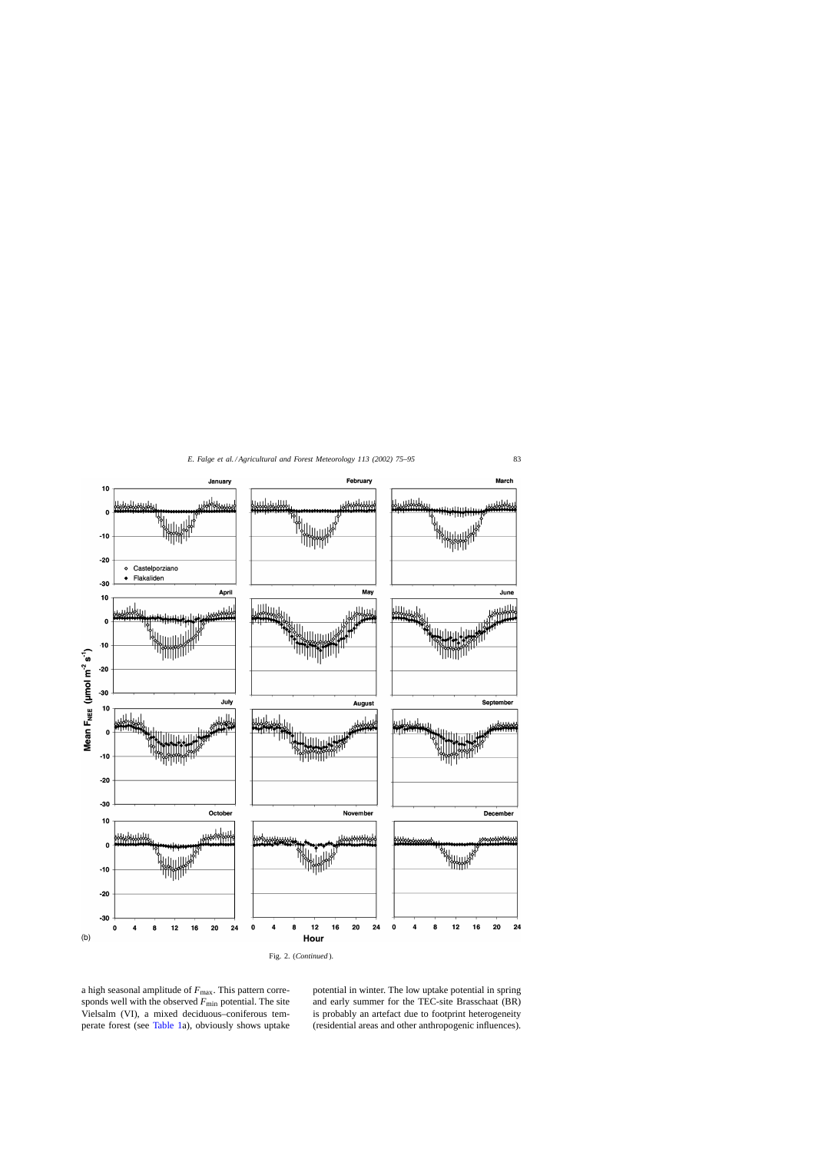

Fig. 2. (*Continued* ).

a high seasonal amplitude of  $F_{\text{max}}$ . This pattern corresponds well with the observed  $F_{\text{min}}$  potential. The site Vielsalm (VI), a mixed deciduous–coniferous temperate forest (see [Table 1a\)](#page-4-0), obviously shows uptake potential in winter. The low uptake potential in spring and early summer for the TEC-site Brasschaat (BR) is probably an artefact due to footprint heterogeneity (residential areas and other anthropogenic influences).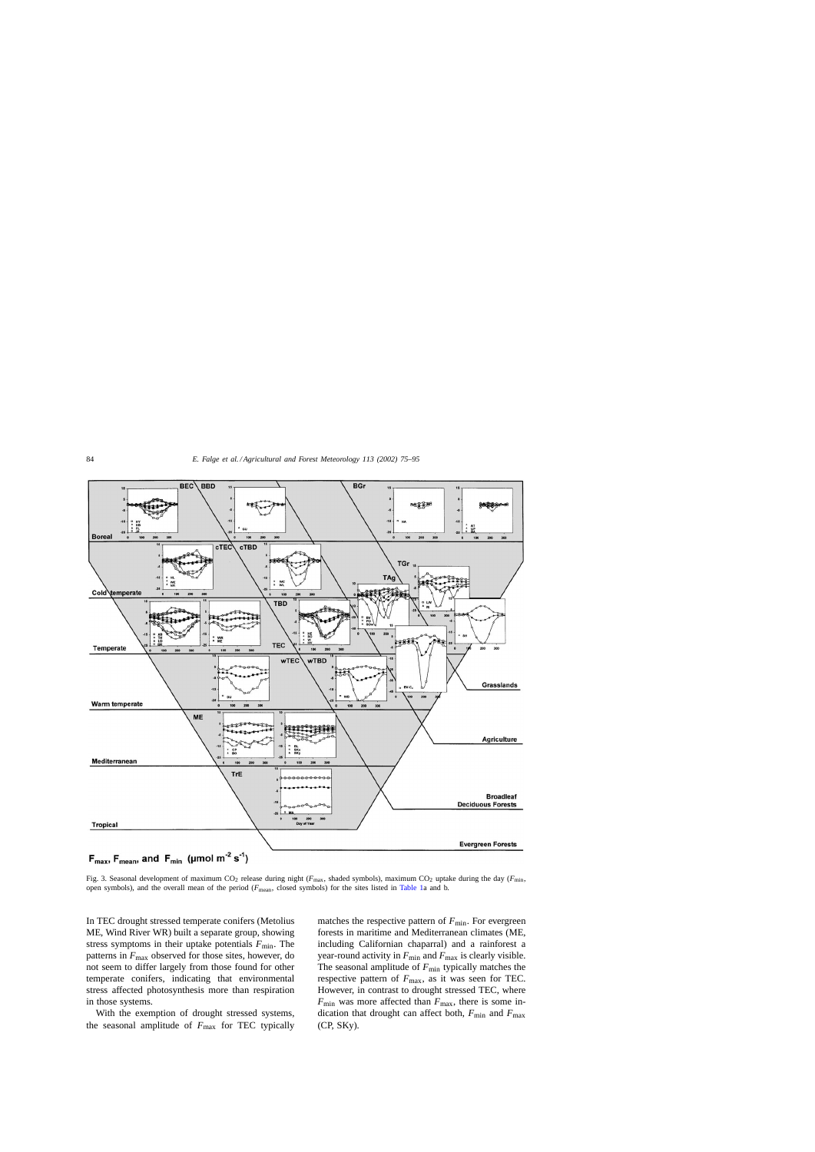<span id="page-9-0"></span>

Fig. 3. Seasonal development of maximum CO<sub>2</sub> release during night ( $F_{\text{max}}$ , shaded symbols), maximum CO<sub>2</sub> uptake during the day ( $F_{\text{min}}$ , open symbols), and the overall mean of the period (*F*mean, closed symbols) for the sites listed in [Table 1a](#page-4-0) and b.

In TEC drought stressed temperate conifers (Metolius ME, Wind River WR) built a separate group, showing stress symptoms in their uptake potentials  $F_{\text{min}}$ . The patterns in  $F_{\text{max}}$  observed for those sites, however, do not seem to differ largely from those found for other temperate conifers, indicating that environmental stress affected photosynthesis more than respiration in those systems.

With the exemption of drought stressed systems, the seasonal amplitude of  $F_{\text{max}}$  for TEC typically matches the respective pattern of  $F_{\text{min}}$ . For evergreen forests in maritime and Mediterranean climates (ME, including Californian chaparral) and a rainforest a year-round activity in  $F_{\text{min}}$  and  $F_{\text{max}}$  is clearly visible. The seasonal amplitude of  $F_{\text{min}}$  typically matches the respective pattern of  $F_{\text{max}}$ , as it was seen for TEC. However, in contrast to drought stressed TEC, where  $F_{\text{min}}$  was more affected than  $F_{\text{max}}$ , there is some indication that drought can affect both,  $F_{\text{min}}$  and  $F_{\text{max}}$ (CP, SKy).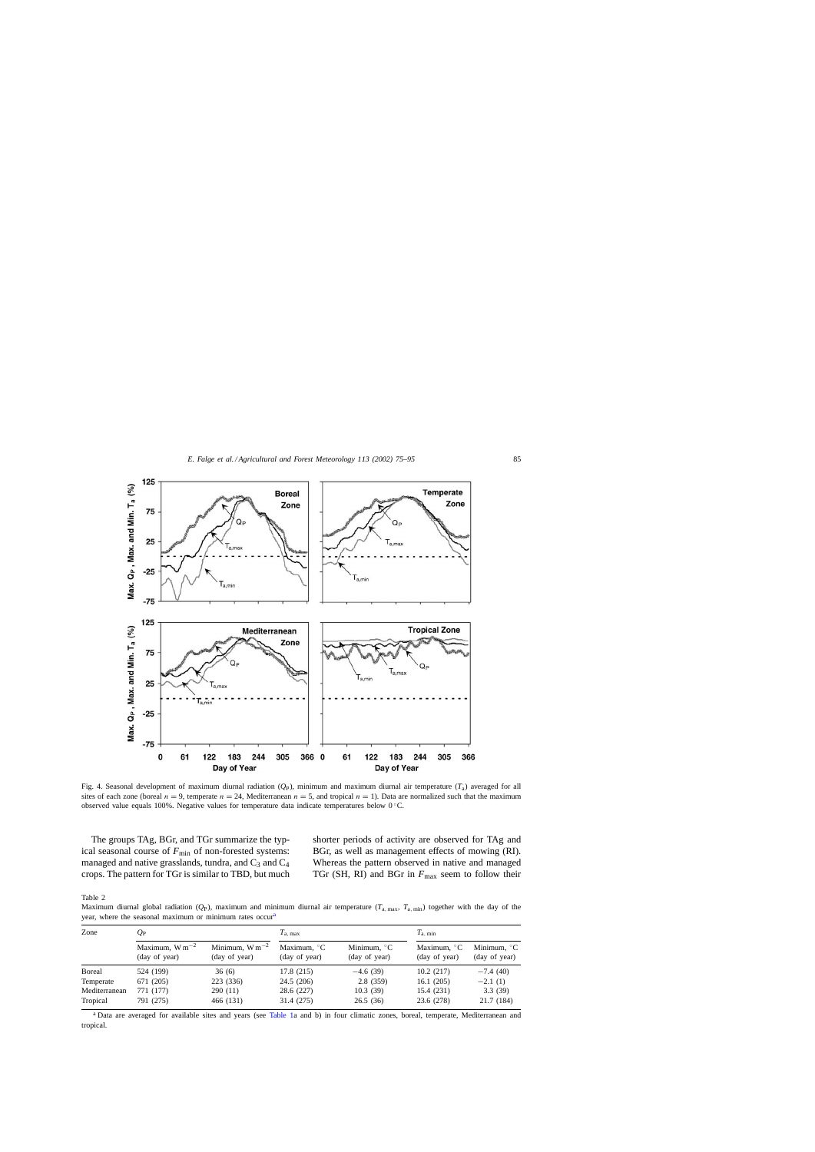<span id="page-10-0"></span>

Fig. 4. Seasonal development of maximum diurnal radiation  $(Q_P)$ , minimum and maximum diurnal air temperature  $(T_a)$  averaged for all sites of each zone (boreal  $n = 9$ , temperate  $n = 24$ , Mediterranean  $n = 5$ , and tropical  $n = 1$ ). Data are normalized such that the maximum observed value equals 100%. Negative values for temperature data indicate temperatures below 0 ◦C.

The groups TAg, BGr, and TGr summarize the typical seasonal course of  $F_{\text{min}}$  of non-forested systems: managed and native grasslands, tundra, and  $C_3$  and  $C_4$ crops. The pattern for TGr is similar to TBD, but much shorter periods of activity are observed for TAg and BGr, as well as management effects of mowing (RI). Whereas the pattern observed in native and managed TGr (SH, RI) and BGr in  $F_{\text{max}}$  seem to follow their

Table 2

Maximum diurnal global radiation  $(Q_P)$ , maximum and minimum diurnal air temperature  $(T_{\text{a,max}}, T_{\text{a,min}})$  together with the day of the year, where the seasonal maximum or minimum rates occur<sup>a</sup>

| Zone          | Qр                                   |                                      | $T_{\rm a. max}$                       |                                        | $T_{\rm a. min}$                       |                                        |
|---------------|--------------------------------------|--------------------------------------|----------------------------------------|----------------------------------------|----------------------------------------|----------------------------------------|
|               | Maximum, $W m^{-2}$<br>(day of year) | Minimum, $W m^{-2}$<br>(day of year) | Maximum. $\mathrm{C}$<br>(day of year) | Minimum, $\mathrm{C}$<br>(day of year) | Maximum, $\mathrm{C}$<br>(day of year) | Minimum, $\mathrm{C}$<br>(day of year) |
| <b>Boreal</b> | 524 (199)                            | 36(6)                                | 17.8 (215)                             | $-4.6(39)$                             | 10.2(217)                              | $-7.4(40)$                             |
| Temperate     | 671 (205)                            | 223 (336)                            | 24.5 (206)                             | 2.8(359)                               | 16.1(205)                              | $-2.1(1)$                              |
| Mediterranean | 771 (177)                            | 290(11)                              | 28.6 (227)                             | 10.3(39)                               | 15.4 (231)                             | 3.3(39)                                |
| Tropical      | 791 (275)                            | 466 (131)                            | 31.4 (275)                             | 26.5(36)                               | 23.6 (278)                             | 21.7 (184)                             |

<sup>a</sup> Data are averaged for available sites and years (see [Table 1a](#page-4-0) and b) in four climatic zones, boreal, temperate, Mediterranean and tropical.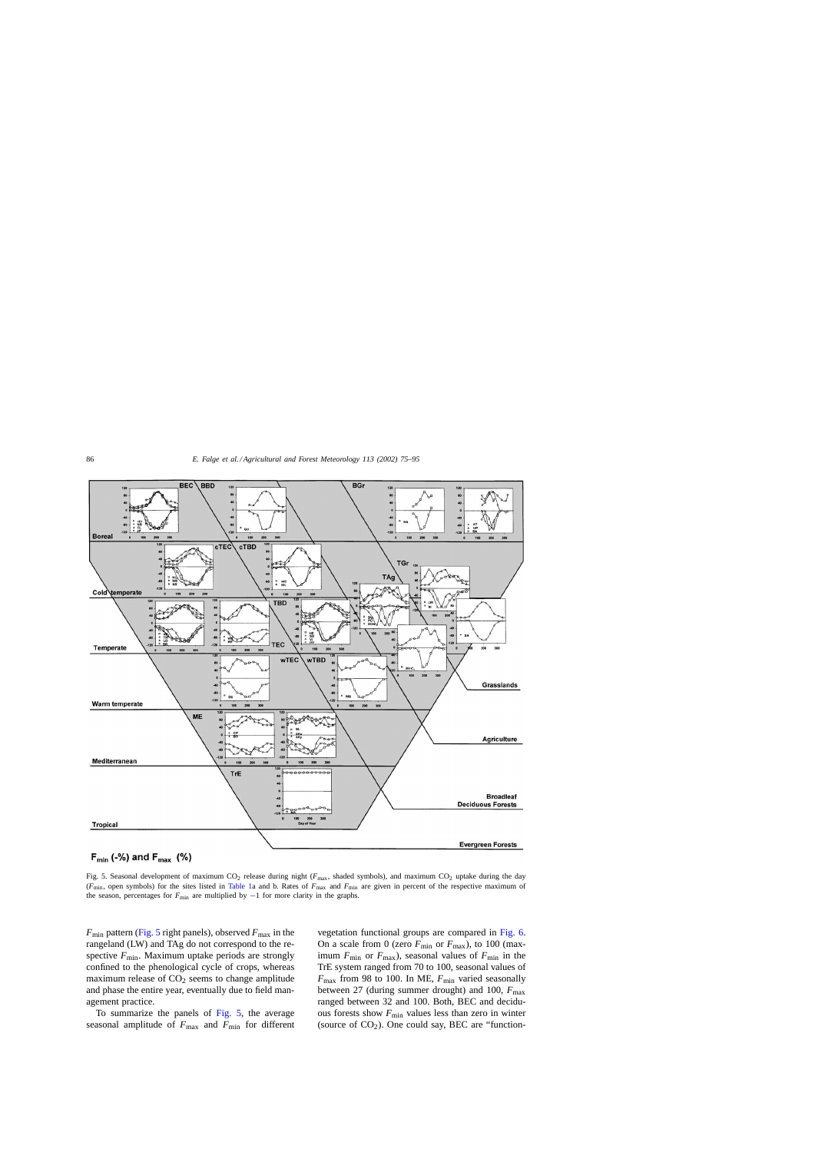<span id="page-11-0"></span>

Fig. 5. Seasonal development of maximum CO<sub>2</sub> release during night ( $F_{\text{max}}$ , shaded symbols), and maximum CO<sub>2</sub> uptake during the day (*F*min, open symbols) for the sites listed in [Table 1a](#page-4-0) and b. Rates of *F*max and *F*min are given in percent of the respective maximum of the season, percentages for *F*<sub>min</sub> are multiplied by −1 for more clarity in the graphs.

 $F_{\text{min}}$  pattern (Fig. 5 right panels), observed  $F_{\text{max}}$  in the rangeland (LW) and TAg do not correspond to the respective  $F_{\text{min}}$ . Maximum uptake periods are strongly confined to the phenological cycle of crops, whereas maximum release of  $CO<sub>2</sub>$  seems to change amplitude and phase the entire year, eventually due to field management practice.

To summarize the panels of Fig. 5, the average seasonal amplitude of  $F_{\text{max}}$  and  $F_{\text{min}}$  for different vegetation functional groups are compared in [Fig. 6.](#page-12-0) On a scale from 0 (zero  $F_{\text{min}}$  or  $F_{\text{max}}$ ), to 100 (maximum  $F_{\text{min}}$  or  $F_{\text{max}}$ ), seasonal values of  $F_{\text{min}}$  in the TrE system ranged from 70 to 100, seasonal values of  $F_{\text{max}}$  from 98 to 100. In ME,  $F_{\text{min}}$  varied seasonally between 27 (during summer drought) and 100,  $F_{\text{max}}$ ranged between 32 and 100. Both, BEC and deciduous forests show  $F_{\text{min}}$  values less than zero in winter (source of  $CO<sub>2</sub>$ ). One could say, BEC are "function-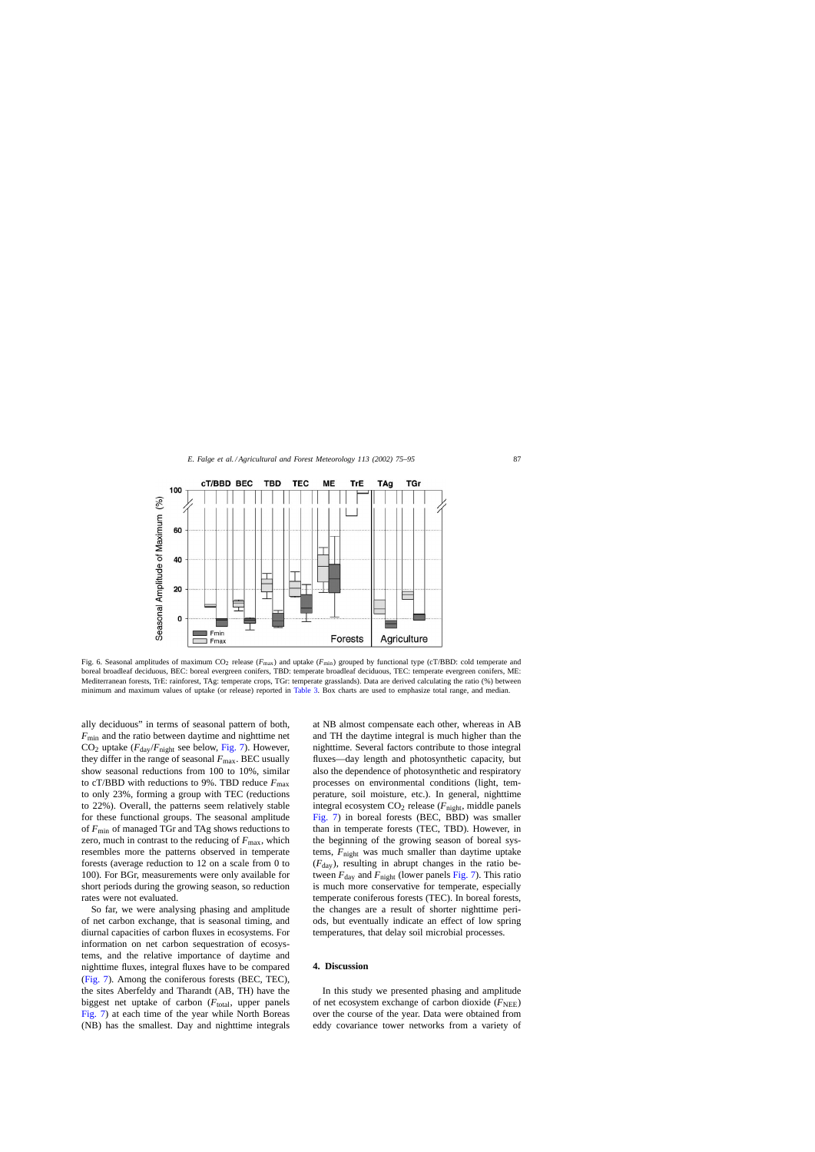<span id="page-12-0"></span>

Fig. 6. Seasonal amplitudes of maximum CO<sub>2</sub> release ( $F_{\text{max}}$ ) and uptake ( $F_{\text{min}}$ ) grouped by functional type (cT/BBD: cold temperate and boreal broadleaf deciduous, BEC: boreal evergreen conifers, TBD: temperate broadleaf deciduous, TEC: temperate evergreen conifers, ME: Mediterranean forests, TrE: rainforest, TAg: temperate crops, TGr: temperate grasslands). Data are derived calculating the ratio (%) between minimum and maximum values of uptake (or release) reported in [Table 3.](#page-15-0) Box charts are used to emphasize total range, and median.

ally deciduous" in terms of seasonal pattern of both, *F*min and the ratio between daytime and nighttime net  $CO<sub>2</sub>$  uptake ( $F<sub>day</sub>/F<sub>night</sub>$  see below, [Fig. 7\).](#page-13-0) However, they differ in the range of seasonal  $F_{\text{max}}$ . BEC usually show seasonal reductions from 100 to 10%, similar to cT/BBD with reductions to 9%. TBD reduce  $F_{\text{max}}$ to only 23%, forming a group with TEC (reductions to 22%). Overall, the patterns seem relatively stable for these functional groups. The seasonal amplitude of *F*min of managed TGr and TAg shows reductions to zero, much in contrast to the reducing of  $F_{\text{max}}$ , which resembles more the patterns observed in temperate forests (average reduction to 12 on a scale from 0 to 100). For BGr, measurements were only available for short periods during the growing season, so reduction rates were not evaluated.

So far, we were analysing phasing and amplitude of net carbon exchange, that is seasonal timing, and diurnal capacities of carbon fluxes in ecosystems. For information on net carbon sequestration of ecosystems, and the relative importance of daytime and nighttime fluxes, integral fluxes have to be compared ([Fig. 7\).](#page-13-0) Among the coniferous forests (BEC, TEC), the sites Aberfeldy and Tharandt (AB, TH) have the biggest net uptake of carbon  $(F_{total},$  upper panels [Fig. 7\)](#page-13-0) at each time of the year while North Boreas (NB) has the smallest. Day and nighttime integrals at NB almost compensate each other, whereas in AB and TH the daytime integral is much higher than the nighttime. Several factors contribute to those integral fluxes—day length and photosynthetic capacity, but also the dependence of photosynthetic and respiratory processes on environmental conditions (light, temperature, soil moisture, etc.). In general, nighttime integral ecosystem CO2 release (*F*night, middle panels [Fig. 7\)](#page-13-0) in boreal forests (BEC, BBD) was smaller than in temperate forests (TEC, TBD). However, in the beginning of the growing season of boreal systems, *F*night was much smaller than daytime uptake  $(F_{\text{day}})$ , resulting in abrupt changes in the ratio between  $F_{\text{day}}$  and  $F_{\text{night}}$  (lower panels [Fig. 7\).](#page-13-0) This ratio is much more conservative for temperate, especially temperate coniferous forests (TEC). In boreal forests, the changes are a result of shorter nighttime periods, but eventually indicate an effect of low spring temperatures, that delay soil microbial processes.

# **4. Discussion**

In this study we presented phasing and amplitude of net ecosystem exchange of carbon dioxide  $(F<sub>NEE</sub>)$ over the course of the year. Data were obtained from eddy covariance tower networks from a variety of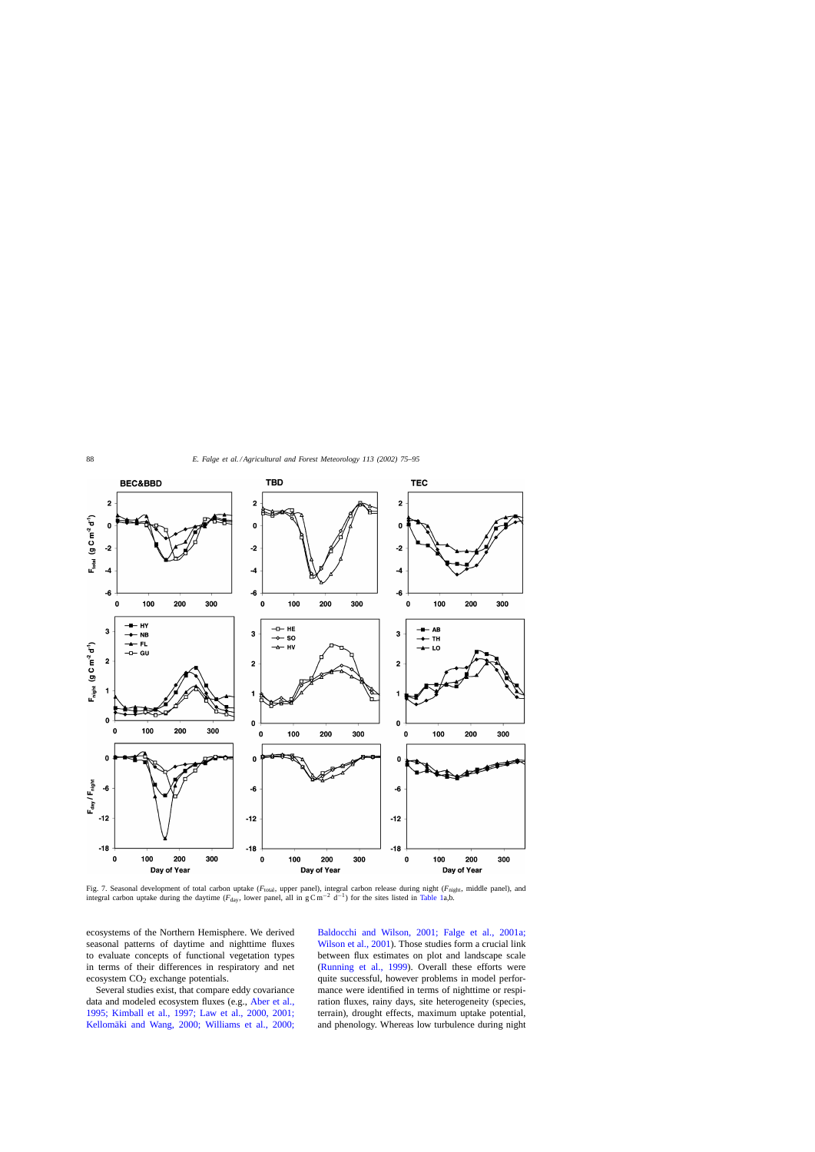<span id="page-13-0"></span>

Fig. 7. Seasonal development of total carbon uptake ( $F_{\text{total}}$ , upper panel), integral carbon release during night ( $F_{\text{night}}$ , middle panel), and integral carbon uptake during the daytime ( $F_{\text{day}}$ , lower panel, all in  $g C m^{-2} d^{-1}$ ) for the sites listed in [Table 1a,](#page-4-0)b.

ecosystems of the Northern Hemisphere. We derived seasonal patterns of daytime and nighttime fluxes to evaluate concepts of functional vegetation types in terms of their differences in respiratory and net ecosystem CO<sub>2</sub> exchange potentials.

Several studies exist, that compare eddy covariance data and modeled ecosystem fluxes (e.g., [Aber et al.,](#page-18-0) [1995; Kimball et al., 1997; Law et al., 2000, 2001;](#page-18-0) [Kellomäki and Wang, 2000; Williams et al., 2000;](#page-18-0) [Baldocchi and Wilson, 2001; Falge et al., 2001a;](#page-18-0) [Wilson et al., 2001\).](#page-18-0) Those studies form a crucial link between flux estimates on plot and landscape scale ([Running et al., 1999](#page-20-0)). Overall these efforts were quite successful, however problems in model performance were identified in terms of nighttime or respiration fluxes, rainy days, site heterogeneity (species, terrain), drought effects, maximum uptake potential, and phenology. Whereas low turbulence during night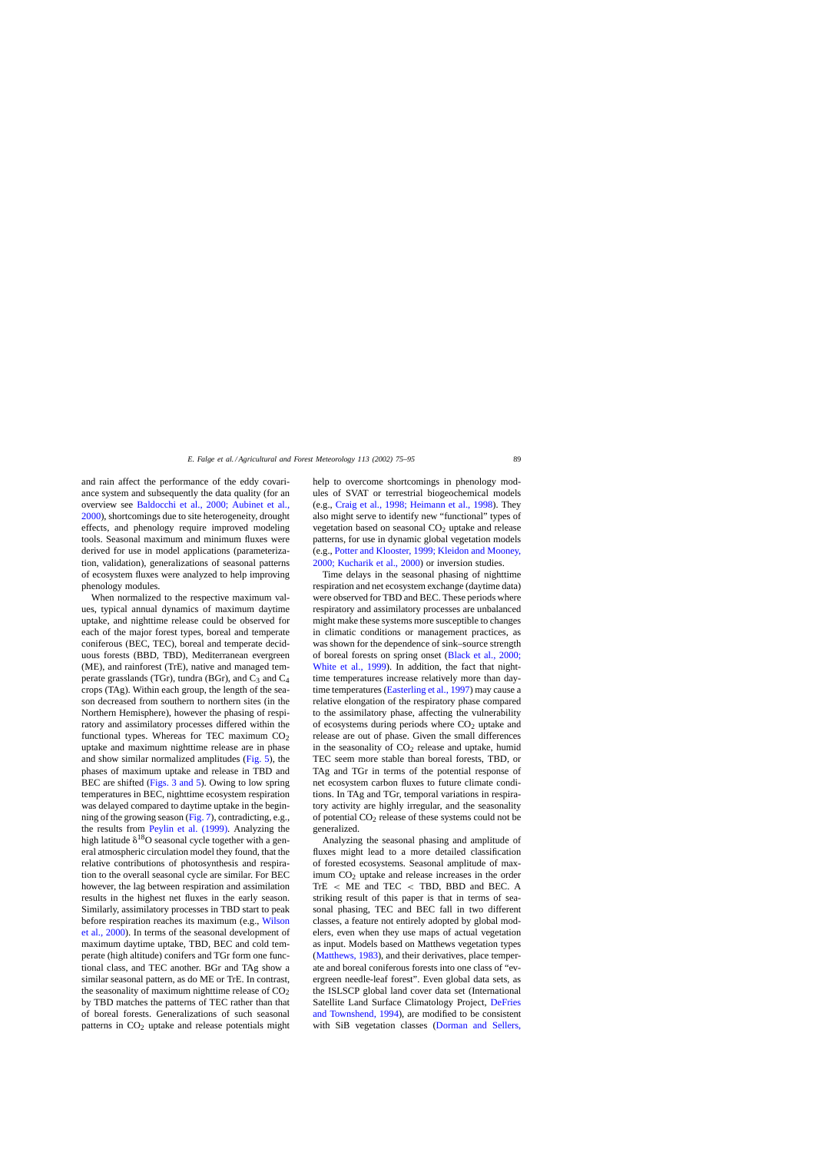and rain affect the performance of the eddy covariance system and subsequently the data quality (for an overview see [Baldocchi et al., 2000; Aubinet et al.,](#page-18-0) [2000\),](#page-18-0) shortcomings due to site heterogeneity, drought effects, and phenology require improved modeling tools. Seasonal maximum and minimum fluxes were derived for use in model applications (parameterization, validation), generalizations of seasonal patterns of ecosystem fluxes were analyzed to help improving phenology modules.

When normalized to the respective maximum values, typical annual dynamics of maximum daytime uptake, and nighttime release could be observed for each of the major forest types, boreal and temperate coniferous (BEC, TEC), boreal and temperate deciduous forests (BBD, TBD), Mediterranean evergreen (ME), and rainforest (TrE), native and managed temperate grasslands (TGr), tundra (BGr), and  $C_3$  and  $C_4$ crops (TAg). Within each group, the length of the season decreased from southern to northern sites (in the Northern Hemisphere), however the phasing of respiratory and assimilatory processes differed within the functional types. Whereas for TEC maximum  $CO<sub>2</sub>$ uptake and maximum nighttime release are in phase and show similar normalized amplitudes ([Fig. 5\),](#page-11-0) the phases of maximum uptake and release in TBD and BEC are shifted ([Figs. 3 and 5\).](#page-9-0) Owing to low spring temperatures in BEC, nighttime ecosystem respiration was delayed compared to daytime uptake in the beginning of the growing season [\(Fig. 7\),](#page-13-0) contradicting, e.g., the results from [Peylin et al. \(1999\).](#page-19-0) Analyzing the high latitude  $\delta^{18}O$  seasonal cycle together with a general atmospheric circulation model they found, that the relative contributions of photosynthesis and respiration to the overall seasonal cycle are similar. For BEC however, the lag between respiration and assimilation results in the highest net fluxes in the early season. Similarly, assimilatory processes in TBD start to peak before respiration reaches its maximum (e.g., [Wilson](#page-20-0) [et al., 2000\).](#page-20-0) In terms of the seasonal development of maximum daytime uptake, TBD, BEC and cold temperate (high altitude) conifers and TGr form one functional class, and TEC another. BGr and TAg show a similar seasonal pattern, as do ME or TrE. In contrast, the seasonality of maximum nighttime release of  $CO<sub>2</sub>$ by TBD matches the patterns of TEC rather than that of boreal forests. Generalizations of such seasonal patterns in  $CO<sub>2</sub>$  uptake and release potentials might

help to overcome shortcomings in phenology modules of SVAT or terrestrial biogeochemical models (e.g., [Craig et al., 1998; Heimann et al., 1998\).](#page-18-0) They also might serve to identify new "functional" types of vegetation based on seasonal  $CO<sub>2</sub>$  uptake and release patterns, for use in dynamic global vegetation models (e.g., [Potter and Klooster, 1999; Kleidon and Mooney,](#page-19-0) [2000; Kucharik et al., 2000\)](#page-19-0) or inversion studies.

Time delays in the seasonal phasing of nighttime respiration and net ecosystem exchange (daytime data) were observed for TBD and BEC. These periods where respiratory and assimilatory processes are unbalanced might make these systems more susceptible to changes in climatic conditions or management practices, as was shown for the dependence of sink–source strength of boreal forests on spring onset [\(Black et al., 2000;](#page-18-0) [White et al., 1999\)](#page-18-0). In addition, the fact that nighttime temperatures increase relatively more than daytime temperatures ([Easterling et al., 1997\) m](#page-18-0)ay cause a relative elongation of the respiratory phase compared to the assimilatory phase, affecting the vulnerability of ecosystems during periods where  $CO<sub>2</sub>$  uptake and release are out of phase. Given the small differences in the seasonality of  $CO<sub>2</sub>$  release and uptake, humid TEC seem more stable than boreal forests, TBD, or TAg and TGr in terms of the potential response of net ecosystem carbon fluxes to future climate conditions. In TAg and TGr, temporal variations in respiratory activity are highly irregular, and the seasonality of potential  $CO<sub>2</sub>$  release of these systems could not be generalized.

Analyzing the seasonal phasing and amplitude of fluxes might lead to a more detailed classification of forested ecosystems. Seasonal amplitude of maximum  $CO<sub>2</sub>$  uptake and release increases in the order TrE < ME and TEC < TBD, BBD and BEC. A striking result of this paper is that in terms of seasonal phasing, TEC and BEC fall in two different classes, a feature not entirely adopted by global modelers, even when they use maps of actual vegetation as input. Models based on Matthews vegetation types ([Matthews, 1983\),](#page-19-0) and their derivatives, place temperate and boreal coniferous forests into one class of "evergreen needle-leaf forest". Even global data sets, as the ISLSCP global land cover data set (International Satellite Land Surface Climatology Project, [DeFries](#page-18-0) [and Townshend, 1994\),](#page-18-0) are modified to be consistent with SiB vegetation classes ([Dorman and Sellers,](#page-18-0)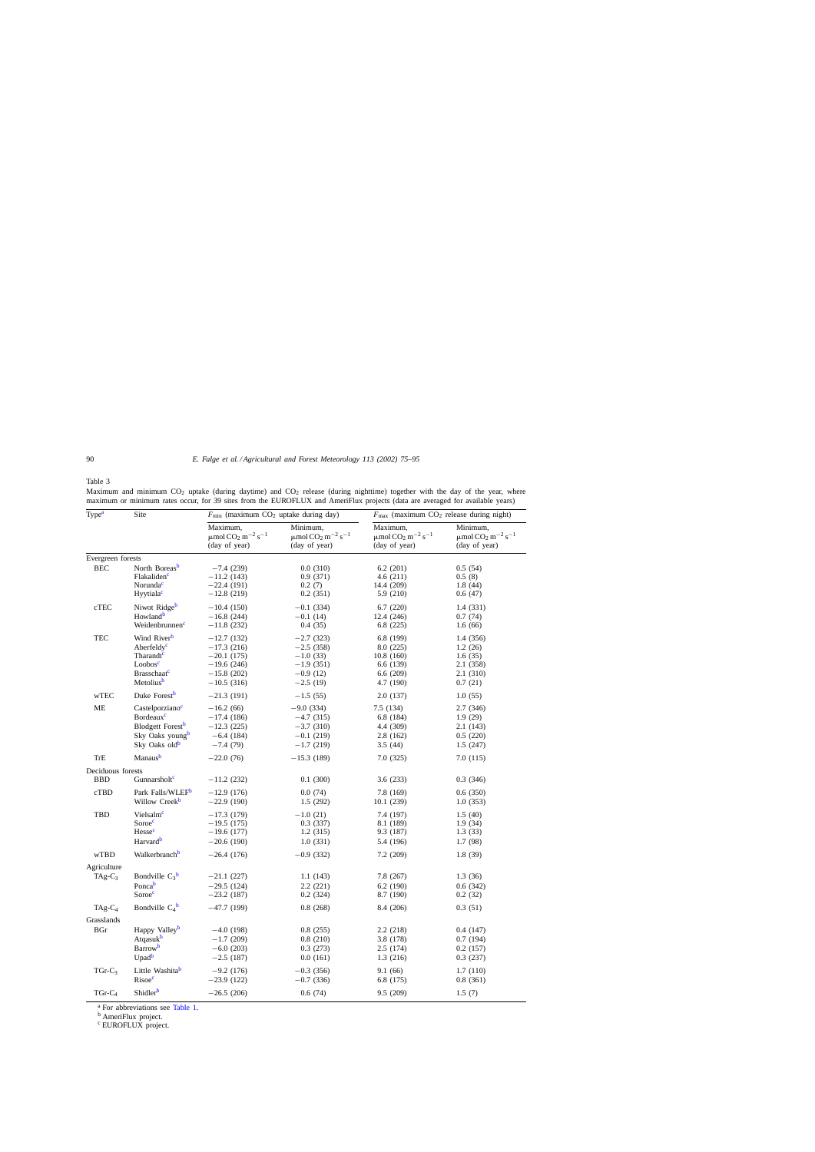<span id="page-15-0"></span>Table 3

Maximum and minimum CO<sub>2</sub> uptake (during daytime) and CO<sub>2</sub> release (during nighttime) together with the day of the year, where maximum or minimum rates occur, for 39 sites from the EUROFLUX and AmeriFlux projects (data are averaged for available years)

| Type <sup>a</sup>        | Site                                                                                                                                                         | $F_{\text{min}}$ (maximum CO <sub>2</sub> uptake during day)                                 |                                                                                             | $F_{\text{max}}$ (maximum CO <sub>2</sub> release during night)                        |                                                                                        |  |
|--------------------------|--------------------------------------------------------------------------------------------------------------------------------------------------------------|----------------------------------------------------------------------------------------------|---------------------------------------------------------------------------------------------|----------------------------------------------------------------------------------------|----------------------------------------------------------------------------------------|--|
|                          |                                                                                                                                                              | Maximum,<br>$\mu$ mol CO <sub>2</sub> m <sup>-2</sup> s <sup>-1</sup><br>(day of year)       | Minimum,<br>$\mu \text{mol}\, \text{CO}_2\, \text{m}^{-2}\, \text{s}^{-1}$<br>(day of year) | Maximum,<br>$\mu$ mol CO <sub>2</sub> m <sup>-2</sup> s <sup>-1</sup><br>(day of year) | Minimum,<br>$\mu$ mol CO <sub>2</sub> m <sup>-2</sup> s <sup>-1</sup><br>(day of year) |  |
| Evergreen forests        |                                                                                                                                                              |                                                                                              |                                                                                             |                                                                                        |                                                                                        |  |
| <b>BEC</b>               | North Boreas <sup>b</sup><br>Flakaliden <sup>c</sup><br>Norunda <sup>c</sup>                                                                                 | $-7.4(239)$<br>$-11.2(143)$<br>$-22.4(191)$                                                  | 0.0(310)<br>0.9(371)<br>0.2(7)                                                              | 6.2(201)<br>4.6(211)<br>14.4 (209)                                                     | 0.5(54)<br>0.5(8)<br>1.8(44)                                                           |  |
|                          | Hyytiala <sup>c</sup>                                                                                                                                        | $-12.8(219)$                                                                                 | 0.2(351)                                                                                    | 5.9 (210)                                                                              | 0.6(47)                                                                                |  |
| cTEC                     | Niwot Ridge <sup>b</sup><br>Howland <sup>b</sup><br>Weidenbrunnen <sup>c</sup>                                                                               | $-10.4(150)$<br>$-16.8(244)$<br>$-11.8(232)$                                                 | $-0.1(334)$<br>$-0.1(14)$<br>0.4(35)                                                        | 6.7(220)<br>12.4 (246)<br>6.8(225)                                                     | 1.4 (331)<br>0.7(74)<br>1.6(66)                                                        |  |
| <b>TEC</b>               | Wind River <sup>b</sup><br>Aberfeldy <sup>c</sup><br>Tharandt <sup>c</sup><br>Loobos <sup>c</sup><br><b>Brasschaat</b> <sup>c</sup><br>Metolius <sup>b</sup> | $-12.7(132)$<br>$-17.3(216)$<br>$-20.1(175)$<br>$-19.6(246)$<br>$-15.8(202)$<br>$-10.5(316)$ | $-2.7(323)$<br>$-2.5(358)$<br>$-1.0(33)$<br>$-1.9(351)$<br>$-0.9(12)$<br>$-2.5(19)$         | 6.8 (199)<br>8.0 (225)<br>10.8(160)<br>6.6 (139)<br>6.6(209)<br>4.7 (190)              | 1.4 (356)<br>1.2(26)<br>1.6(35)<br>2.1 (358)<br>2.1(310)<br>0.7(21)                    |  |
| wTEC                     | Duke Forest <sup>b</sup>                                                                                                                                     | $-21.3(191)$                                                                                 | $-1.5(55)$                                                                                  | 2.0(137)                                                                               | 1.0(55)                                                                                |  |
| ME                       | Castelporziano <sup>c</sup><br>Bordeaux <sup>c</sup><br>Blodgett Forest <sup>b</sup><br>Sky Oaks young <sup>b</sup><br>Sky Oaks old <sup>b</sup>             | $-16.2(66)$<br>$-17.4(186)$<br>$-12.3(225)$<br>$-6.4(184)$<br>$-7.4(79)$                     | $-9.0(334)$<br>$-4.7(315)$<br>$-3.7(310)$<br>$-0.1(219)$<br>$-1.7(219)$                     | 7.5(134)<br>6.8 (184)<br>4.4 (309)<br>2.8(162)<br>3.5(44)                              | 2.7(346)<br>1.9(29)<br>2.1(143)<br>0.5(220)<br>1.5(247)                                |  |
| <b>TrE</b>               | Manausb                                                                                                                                                      | $-22.0(76)$                                                                                  | $-15.3(189)$                                                                                | 7.0(325)                                                                               | 7.0 (115)                                                                              |  |
| Deciduous forests        |                                                                                                                                                              |                                                                                              |                                                                                             |                                                                                        |                                                                                        |  |
| <b>BBD</b>               | Gunnarsholt <sup>c</sup>                                                                                                                                     | $-11.2(232)$                                                                                 | 0.1(300)                                                                                    | 3.6(233)                                                                               | 0.3(346)                                                                               |  |
| cTBD                     | Park Falls/WLEF <sup>b</sup><br>Willow Creek <sup>b</sup>                                                                                                    | $-12.9(176)$<br>$-22.9(190)$                                                                 | 0.0(74)<br>1.5(292)                                                                         | 7.8 (169)<br>10.1(239)                                                                 | 0.6(350)<br>1.0(353)                                                                   |  |
| TBD                      | Vielsalm <sup>c</sup><br>Soroec<br>Hesse <sup>c</sup><br>Harvard <sup>b</sup>                                                                                | $-17.3(179)$<br>$-19.5(175)$<br>$-19.6(177)$<br>$-20.6(190)$                                 | $-1.0(21)$<br>0.3(337)<br>1.2(315)<br>1.0(331)                                              | 7.4 (197)<br>8.1 (189)<br>9.3 (187)<br>5.4 (196)                                       | 1.5(40)<br>1.9(34)<br>1.3(33)<br>1.7 (98)                                              |  |
| wTBD                     | Walkerbranch <sup>b</sup>                                                                                                                                    | $-26.4(176)$                                                                                 | $-0.9(332)$                                                                                 | 7.2(209)                                                                               | 1.8(39)                                                                                |  |
| Agriculture<br>$TAg-C_3$ | Bondville $C_3^b$<br>Poncab<br>Soroec                                                                                                                        | $-21.1(227)$<br>$-29.5(124)$<br>$-23.2(187)$                                                 | 1.1(143)<br>2.2(221)<br>0.2(324)                                                            | 7.8 (267)<br>6.2(190)<br>8.7 (190)                                                     | 1.3(36)<br>0.6(342)<br>0.2(32)                                                         |  |
| $TAg-C_4$                | Bondville $C_4^b$                                                                                                                                            | $-47.7(199)$                                                                                 | 0.8(268)                                                                                    | 8.4 (206)                                                                              | 0.3(51)                                                                                |  |
| Grasslands               |                                                                                                                                                              |                                                                                              |                                                                                             |                                                                                        |                                                                                        |  |
| BGr                      | Happy Valley <sup>b</sup><br>Atqasuk <sup>b</sup><br><b>Barrow</b><br>Upad <sup>b</sup>                                                                      | $-4.0(198)$<br>$-1.7(209)$<br>$-6.0(203)$<br>$-2.5(187)$                                     | 0.8(255)<br>0.8(210)<br>0.3(273)<br>0.0(161)                                                | 2.2(218)<br>3.8 (178)<br>2.5(174)<br>1.3(216)                                          | 0.4(147)<br>0.7(194)<br>0.2(157)<br>0.3(237)                                           |  |
| $TGr-C3$                 | Little Washitab<br>Risoec                                                                                                                                    | $-9.2(176)$<br>$-23.9(122)$                                                                  | $-0.3(356)$<br>$-0.7(336)$                                                                  | 9.1 (66)<br>6.8 (175)                                                                  | 1.7(110)<br>0.8(361)                                                                   |  |
| $TGr-C4$                 | Shidler <sup>b</sup>                                                                                                                                         | $-26.5(206)$                                                                                 | 0.6(74)                                                                                     | 9.5 (209)                                                                              | 1.5(7)                                                                                 |  |

<sup>a</sup> For abbreviations see [Table 1.](#page-4-0)<br><sup>b</sup> AmeriFlux project.

<sup>c</sup> EUROFLUX project.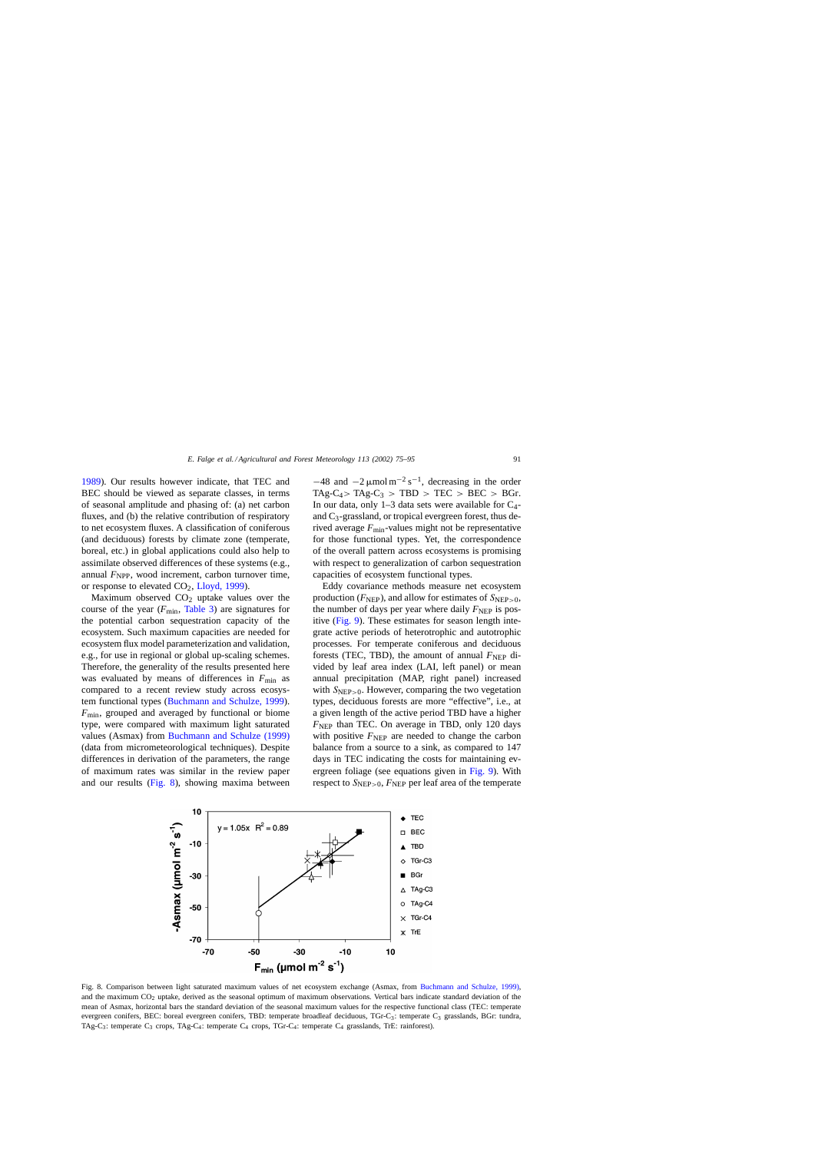[1989\).](#page-18-0) Our results however indicate, that TEC and BEC should be viewed as separate classes, in terms of seasonal amplitude and phasing of: (a) net carbon fluxes, and (b) the relative contribution of respiratory to net ecosystem fluxes. A classification of coniferous (and deciduous) forests by climate zone (temperate, boreal, etc.) in global applications could also help to assimilate observed differences of these systems (e.g., annual  $F_{\text{NPP}}$ , wood increment, carbon turnover time, or response to elevated  $CO<sub>2</sub>$ , [Lloyd, 1999\).](#page-19-0)

Maximum observed  $CO<sub>2</sub>$  uptake values over the course of the year  $(F_{\text{min}}$ , [Table 3\)](#page-15-0) are signatures for the potential carbon sequestration capacity of the ecosystem. Such maximum capacities are needed for ecosystem flux model parameterization and validation, e.g., for use in regional or global up-scaling schemes. Therefore, the generality of the results presented here was evaluated by means of differences in  $F_{\text{min}}$  as compared to a recent review study across ecosystem functional types [\(Buchmann and Schulze, 1999\).](#page-18-0) *F*min, grouped and averaged by functional or biome type, were compared with maximum light saturated values (Asmax) from [Buchmann and Schulze \(1999\)](#page-18-0) (data from micrometeorological techniques). Despite differences in derivation of the parameters, the range of maximum rates was similar in the review paper and our results (Fig. 8), showing maxima between  $-48$  and  $-2 \mu$ mol m<sup>-2</sup> s<sup>-1</sup>, decreasing in the order  $TAg-C_4 > TAg-C_3 > TBD > TEC > BEC > BGr.$ In our data, only  $1-3$  data sets were available for  $C_4$ and  $C_3$ -grassland, or tropical evergreen forest, thus derived average  $F_{\text{min}}$ -values might not be representative for those functional types. Yet, the correspondence of the overall pattern across ecosystems is promising with respect to generalization of carbon sequestration capacities of ecosystem functional types.

Eddy covariance methods measure net ecosystem production  $(F_{\text{NEP}})$ , and allow for estimates of  $S_{\text{NEP}>0}$ , the number of days per year where daily  $F_{\text{NEP}}$  is positive [\(Fig. 9\).](#page-17-0) These estimates for season length integrate active periods of heterotrophic and autotrophic processes. For temperate coniferous and deciduous forests (TEC, TBD), the amount of annual  $F_{\text{NEP}}$  divided by leaf area index (LAI, left panel) or mean annual precipitation (MAP, right panel) increased with  $S_{\text{NEP}>0}$ . However, comparing the two vegetation types, deciduous forests are more "effective", i.e., at a given length of the active period TBD have a higher *F*<sub>NEP</sub> than TEC. On average in TBD, only 120 days with positive  $F_{\text{NEP}}$  are needed to change the carbon balance from a source to a sink, as compared to 147 days in TEC indicating the costs for maintaining evergreen foliage (see equations given in [Fig. 9\).](#page-17-0) With respect to  $S_{\text{NEP}>0}$ ,  $F_{\text{NEP}}$  per leaf area of the temperate



Fig. 8. Comparison between light saturated maximum values of net ecosystem exchange (Asmax, from [Buchmann and Schulze, 1999\),](#page-18-0) and the maximum CO<sub>2</sub> uptake, derived as the seasonal optimum of maximum observations. Vertical bars indicate standard deviation of the mean of Asmax, horizontal bars the standard deviation of the seasonal maximum values for the respective functional class (TEC: temperate evergreen conifers, BEC: boreal evergreen conifers, TBD: temperate broadleaf deciduous, TGr-C3: temperate C<sub>3</sub> grasslands, BGr: tundra, TAg-C3: temperate C3 crops, TAg-C4: temperate C4 crops, TGr-C4: temperate C4 grasslands, TrE: rainforest).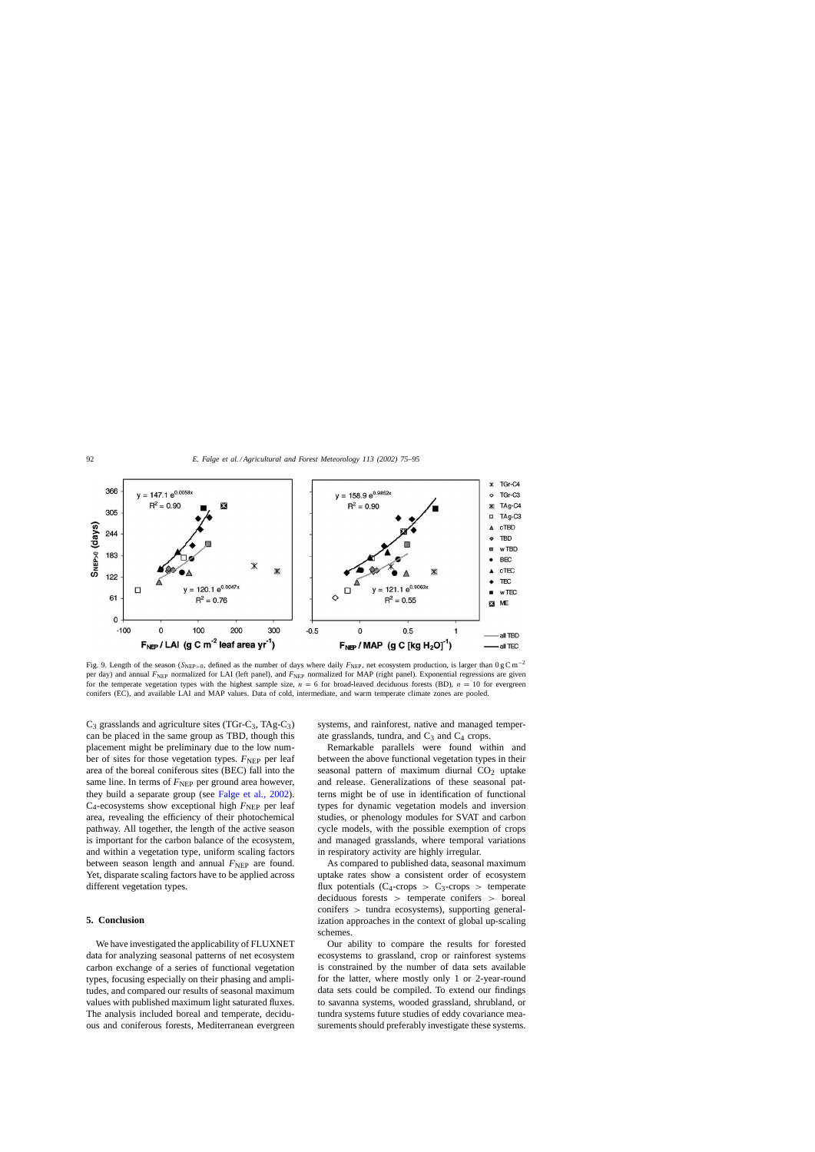<span id="page-17-0"></span>

Fig. 9. Length of the season (SNEP>0, defined as the number of days where daily *F*NEP, net ecosystem production, is larger than 0gCm−<sup>2</sup> per day) and annual *F*<sub>NEP</sub> normalized for LAI (left panel), and *F*<sub>NEP</sub> normalized for MAP (right panel). Exponential regressions are given for the temperate vegetation types with the highest sample size,  $n = 6$  for broad-leaved deciduous forests (BD),  $n = 10$  for evergreen conifers (EC), and available LAI and MAP values. Data of cold, intermediate, and warm temperate climate zones are pooled.

 $C_3$  grasslands and agriculture sites (TGr-C<sub>3</sub>, TAg-C<sub>3</sub>) can be placed in the same group as TBD, though this placement might be preliminary due to the low number of sites for those vegetation types.  $F_{\text{NEP}}$  per leaf area of the boreal coniferous sites (BEC) fall into the same line. In terms of  $F_{\text{NEP}}$  per ground area however, they build a separate group (see [Falge et al., 2002\)](#page-18-0).  $C_4$ -ecosystems show exceptional high  $F_{\text{NEP}}$  per leaf area, revealing the efficiency of their photochemical pathway. All together, the length of the active season is important for the carbon balance of the ecosystem, and within a vegetation type, uniform scaling factors between season length and annual  $F_{\text{NEP}}$  are found. Yet, disparate scaling factors have to be applied across different vegetation types.

## **5. Conclusion**

We have investigated the applicability of FLUXNET data for analyzing seasonal patterns of net ecosystem carbon exchange of a series of functional vegetation types, focusing especially on their phasing and amplitudes, and compared our results of seasonal maximum values with published maximum light saturated fluxes. The analysis included boreal and temperate, deciduous and coniferous forests, Mediterranean evergreen systems, and rainforest, native and managed temperate grasslands, tundra, and  $C_3$  and  $C_4$  crops.

Remarkable parallels were found within and between the above functional vegetation types in their seasonal pattern of maximum diurnal  $CO<sub>2</sub>$  uptake and release. Generalizations of these seasonal patterns might be of use in identification of functional types for dynamic vegetation models and inversion studies, or phenology modules for SVAT and carbon cycle models, with the possible exemption of crops and managed grasslands, where temporal variations in respiratory activity are highly irregular.

As compared to published data, seasonal maximum uptake rates show a consistent order of ecosystem flux potentials  $(C_4$ -crops >  $C_3$ -crops > temperate deciduous forests > temperate conifers > boreal conifers > tundra ecosystems), supporting generalization approaches in the context of global up-scaling schemes.

Our ability to compare the results for forested ecosystems to grassland, crop or rainforest systems is constrained by the number of data sets available for the latter, where mostly only 1 or 2-year-round data sets could be compiled. To extend our findings to savanna systems, wooded grassland, shrubland, or tundra systems future studies of eddy covariance measurements should preferably investigate these systems.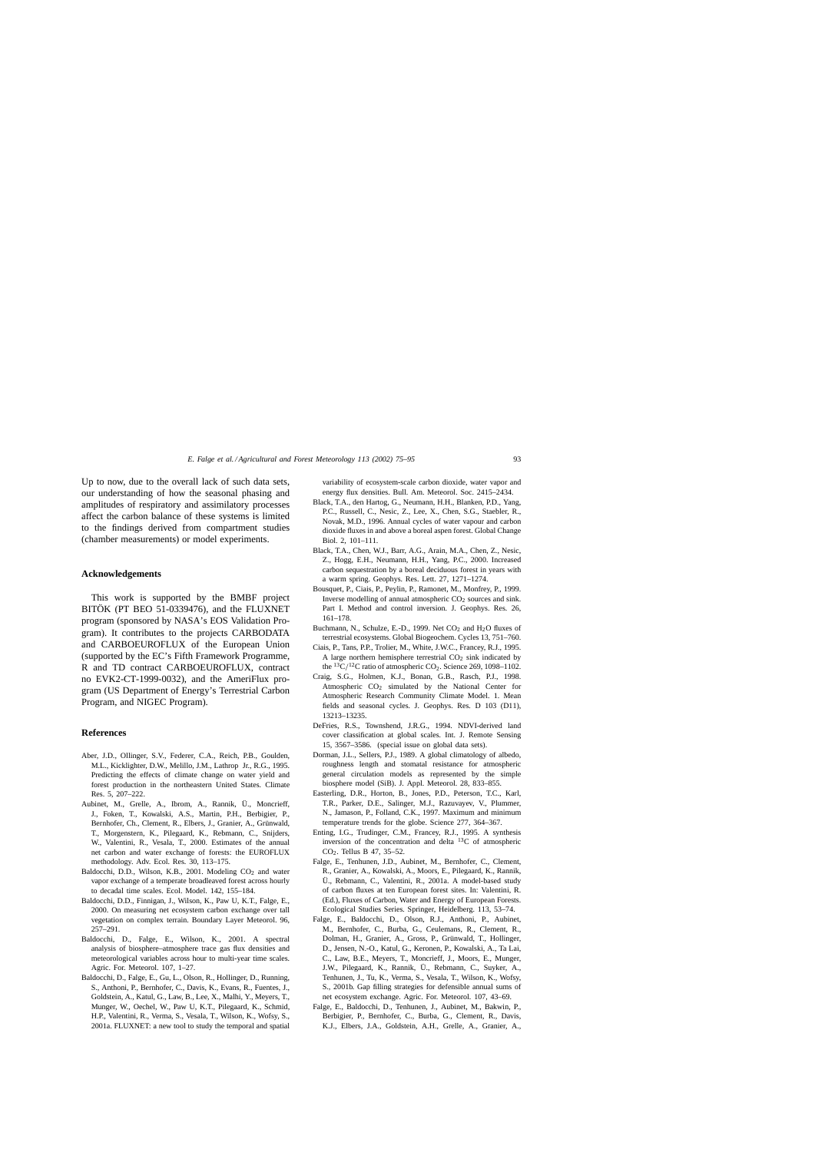<span id="page-18-0"></span>Up to now, due to the overall lack of such data sets, our understanding of how the seasonal phasing and amplitudes of respiratory and assimilatory processes affect the carbon balance of these systems is limited to the findings derived from compartment studies (chamber measurements) or model experiments.

# **Acknowledgements**

This work is supported by the BMBF project BITÖK (PT BEO 51-0339476), and the FLUXNET program (sponsored by NASA's EOS Validation Program). It contributes to the projects CARBODATA and CARBOEUROFLUX of the European Union (supported by the EC's Fifth Framework Programme, R and TD contract CARBOEUROFLUX, contract no EVK2-CT-1999-0032), and the AmeriFlux program (US Department of Energy's Terrestrial Carbon Program, and NIGEC Program).

#### **References**

- Aber, J.D., Ollinger, S.V., Federer, C.A., Reich, P.B., Goulden, M.L., Kicklighter, D.W., Melillo, J.M., Lathrop Jr., R.G., 1995. Predicting the effects of climate change on water yield and forest production in the northeastern United States. Climate Res. 5, 207–222.
- Aubinet, M., Grelle, A., Ibrom, A., Rannik, Ü., Moncrieff, J., Foken, T., Kowalski, A.S., Martin, P.H., Berbigier, P., Bernhofer, Ch., Clement, R., Elbers, J., Granier, A., Grünwald, T., Morgenstern, K., Pilegaard, K., Rebmann, C., Snijders, W., Valentini, R., Vesala, T., 2000. Estimates of the annual net carbon and water exchange of forests: the EUROFLUX methodology. Adv. Ecol. Res. 30, 113–175.
- Baldocchi, D.D., Wilson, K.B., 2001. Modeling  $CO<sub>2</sub>$  and water vapor exchange of a temperate broadleaved forest across hourly to decadal time scales. Ecol. Model. 142, 155–184.
- Baldocchi, D.D., Finnigan, J., Wilson, K., Paw U, K.T., Falge, E., 2000. On measuring net ecosystem carbon exchange over tall vegetation on complex terrain. Boundary Layer Meteorol. 96, 257–291.
- Baldocchi, D., Falge, E., Wilson, K., 2001. A spectral analysis of biosphere–atmosphere trace gas flux densities and meteorological variables across hour to multi-year time scales. Agric. For. Meteorol. 107, 1–27.
- Baldocchi, D., Falge, E., Gu, L., Olson, R., Hollinger, D., Running, S., Anthoni, P., Bernhofer, C., Davis, K., Evans, R., Fuentes, J., Goldstein, A., Katul, G., Law, B., Lee, X., Malhi, Y., Meyers, T., Munger, W., Oechel, W., Paw U, K.T., Pilegaard, K., Schmid, H.P., Valentini, R., Verma, S., Vesala, T., Wilson, K., Wofsy, S., 2001a. FLUXNET: a new tool to study the temporal and spatial

variability of ecosystem-scale carbon dioxide, water vapor and energy flux densities. Bull. Am. Meteorol. Soc. 2415–2434.

- Black, T.A., den Hartog, G., Neumann, H.H., Blanken, P.D., Yang, P.C., Russell, C., Nesic, Z., Lee, X., Chen, S.G., Staebler, R., Novak, M.D., 1996. Annual cycles of water vapour and carbon dioxide fluxes in and above a boreal aspen forest. Global Change Biol. 2, 101–111.
- Black, T.A., Chen, W.J., Barr, A.G., Arain, M.A., Chen, Z., Nesic, Z., Hogg, E.H., Neumann, H.H., Yang, P.C., 2000. Increased carbon sequestration by a boreal deciduous forest in years with a warm spring. Geophys. Res. Lett. 27, 1271–1274.
- Bousquet, P., Ciais, P., Peylin, P., Ramonet, M., Monfrey, P., 1999. Inverse modelling of annual atmospheric  $CO<sub>2</sub>$  sources and sink. Part I. Method and control inversion. J. Geophys. Res. 26, 161–178.
- Buchmann, N., Schulze, E.-D., 1999. Net  $CO<sub>2</sub>$  and  $H<sub>2</sub>O$  fluxes of terrestrial ecosystems. Global Biogeochem. Cycles 13, 751–760.
- Ciais, P., Tans, P.P., Trolier, M., White, J.W.C., Francey, R.J., 1995. A large northern hemisphere terrestrial  $CO<sub>2</sub>$  sink indicated by the  ${}^{13}C/{}^{12}C$  ratio of atmospheric CO<sub>2</sub>. Science 269, 1098–1102.
- Craig, S.G., Holmen, K.J., Bonan, G.B., Rasch, P.J., 1998. Atmospheric CO2 simulated by the National Center for Atmospheric Research Community Climate Model. 1. Mean fields and seasonal cycles. J. Geophys. Res. D 103 (D11), 13213–13235.
- DeFries, R.S., Townshend, J.R.G., 1994. NDVI-derived land cover classification at global scales. Int. J. Remote Sensing 15, 3567–3586. (special issue on global data sets).
- Dorman, J.L., Sellers, P.J., 1989. A global climatology of albedo, roughness length and stomatal resistance for atmospheric general circulation models as represented by the simple biosphere model (SiB). J. Appl. Meteorol. 28, 833–855.
- Easterling, D.R., Horton, B., Jones, P.D., Peterson, T.C., Karl, T.R., Parker, D.E., Salinger, M.J., Razuvayev, V., Plummer, N., Jamason, P., Folland, C.K., 1997. Maximum and minimum temperature trends for the globe. Science 277, 364–367.
- Enting, I.G., Trudinger, C.M., Francey, R.J., 1995. A synthesis inversion of the concentration and delta 13C of atmospheric CO2. Tellus B 47, 35–52.
- Falge, E., Tenhunen, J.D., Aubinet, M., Bernhofer, C., Clement, R., Granier, A., Kowalski, A., Moors, E., Pilegaard, K., Rannik, Ü., Rebmann, C., Valentini, R., 2001a. A model-based study of carbon fluxes at ten European forest sites. In: Valentini, R. (Ed.), Fluxes of Carbon, Water and Energy of European Forests. Ecological Studies Series. Springer, Heidelberg. 113, 53–74.
- Falge, E., Baldocchi, D., Olson, R.J., Anthoni, P., Aubinet, M., Bernhofer, C., Burba, G., Ceulemans, R., Clement, R., Dolman, H., Granier, A., Gross, P., Grünwald, T., Hollinger, D., Jensen, N.-O., Katul, G., Keronen, P., Kowalski, A., Ta Lai, C., Law, B.E., Meyers, T., Moncrieff, J., Moors, E., Munger, J.W., Pilegaard, K., Rannik, Ü., Rebmann, C., Suyker, A., Tenhunen, J., Tu, K., Verma, S., Vesala, T., Wilson, K., Wofsy, S., 2001b. Gap filling strategies for defensible annual sums of net ecosystem exchange. Agric. For. Meteorol. 107, 43–69.
- Falge, E., Baldocchi, D., Tenhunen, J., Aubinet, M., Bakwin, P., Berbigier, P., Bernhofer, C., Burba, G., Clement, R., Davis, K.J., Elbers, J.A., Goldstein, A.H., Grelle, A., Granier, A.,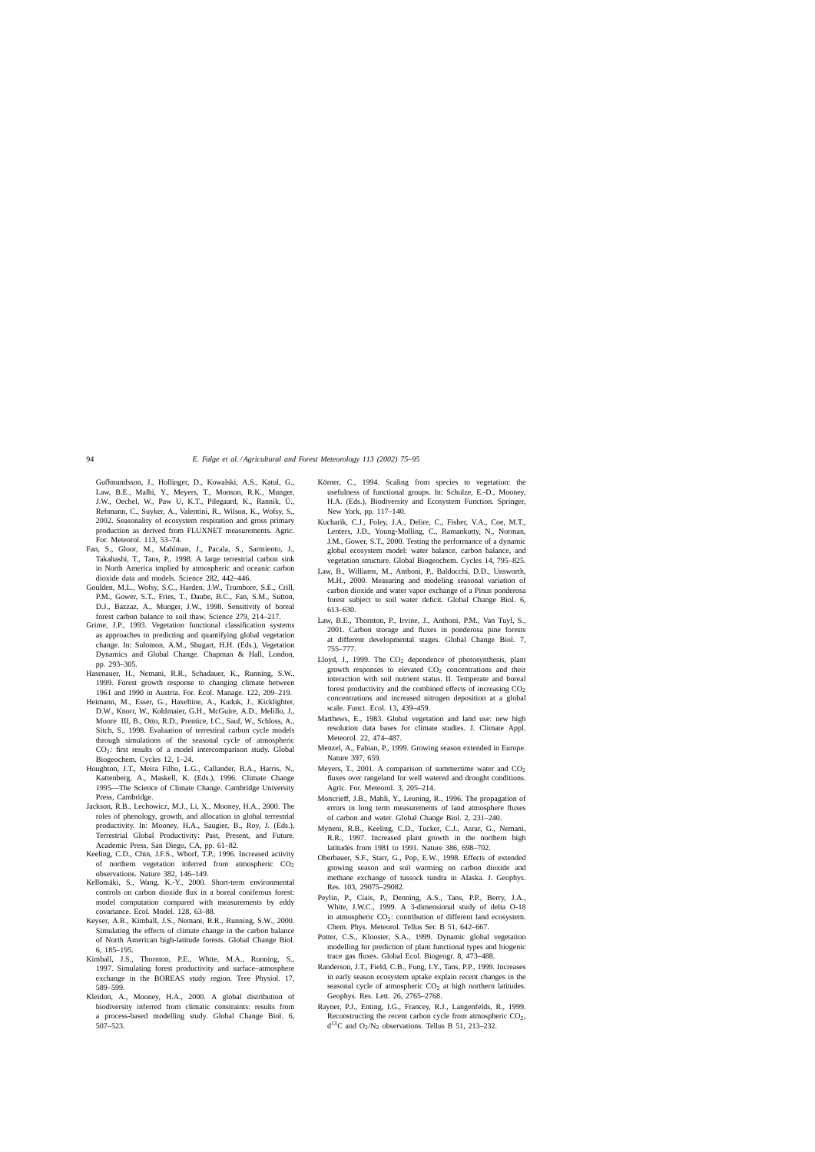<span id="page-19-0"></span>Guðmundsson, J., Hollinger, D., Kowalski, A.S., Katul, G., Law, B.E., Malhi, Y., Meyers, T., Monson, R.K., Munger, J.W., Oechel, W., Paw U, K.T., Pilegaard, K., Rannik, Ü., Rebmann, C., Suyker, A., Valentini, R., Wilson, K., Wofsy, S., 2002. Seasonality of ecosystem respiration and gross primary production as derived from FLUXNET measurements. Agric. For. Meteorol. 113, 53–74.

- Fan, S., Gloor, M., Mahlman, J., Pacala, S., Sarmiento, J., Takahashi, T., Tans, P., 1998. A large terrestrial carbon sink in North America implied by atmospheric and oceanic carbon dioxide data and models. Science 282, 442–446.
- Goulden, M.L., Wofsy, S.C., Harden, J.W., Trumbore, S.E., Crill, P.M., Gower, S.T., Fries, T., Daube, B.C., Fan, S.M., Sutton, D.J., Bazzaz, A., Munger, J.W., 1998. Sensitivity of boreal forest carbon balance to soil thaw. Science 279, 214–217.
- Grime, J.P., 1993. Vegetation functional classification systems as approaches to predicting and quantifying global vegetation change. In: Solomon, A.M., Shugart, H.H. (Eds.), Vegetation Dynamics and Global Change. Chapman & Hall, London, pp. 293–305.
- Hasenauer, H., Nemani, R.R., Schadauer, K., Running, S.W., 1999. Forest growth response to changing climate between 1961 and 1990 in Austria. For. Ecol. Manage. 122, 209–219.
- Heimann, M., Esser, G., Haxeltine, A., Kaduk, J., Kicklighter, D.W., Knorr, W., Kohlmaier, G.H., McGuire, A.D., Melillo, J., Moore III, B., Otto, R.D., Prentice, I.C., Sauf, W., Schloss, A., Sitch, S., 1998. Evaluation of terrestiral carbon cycle models through simulations of the seasonal cycle of atmospheric CO2: first results of a model intercomparison study. Global Biogeochem. Cycles 12, 1–24.
- Houghton, J.T., Meira Filho, L.G., Callander, B.A., Harris, N., Kattenberg, A., Maskell, K. (Eds.), 1996. Climate Change 1995—The Science of Climate Change. Cambridge University Press, Cambridge.
- Jackson, R.B., Lechowicz, M.J., Li, X., Mooney, H.A., 2000. The roles of phenology, growth, and allocation in global terrestrial productivity. In: Mooney, H.A., Saugier, B., Roy, J. (Eds.), Terrestrial Global Productivity: Past, Present, and Future. Academic Press, San Diego, CA, pp. 61–82.
- Keeling, C.D., Chin, J.F.S., Whorf, T.P., 1996. Increased activity of northern vegetation inferred from atmospheric  $CO<sub>2</sub>$ observations. Nature 382, 146–149.
- Kellomäki, S., Wang, K.-Y., 2000. Short-term environmental controls on carbon dioxide flux in a boreal coniferous forest: model computation compared with measurements by eddy covariance. Ecol. Model. 128, 63–88.
- Keyser, A.R., Kimball, J.S., Nemani, R.R., Running, S.W., 2000. Simulating the effects of climate change in the carbon balance of North American high-latitude forests. Global Change Biol. 6, 185–195.
- Kimball, J.S., Thornton, P.E., White, M.A., Running, S., 1997. Simulating forest productivity and surface–atmosphere exchange in the BOREAS study region. Tree Physiol. 17, 589–599.
- Kleidon, A., Mooney, H.A., 2000. A global distribution of biodiversity inferred from climatic constraints: results from a process-based modelling study. Global Change Biol. 6, 507–523.
- Körner, C., 1994. Scaling from species to vegetation: the usefulness of functional groups. In: Schulze, E.-D., Mooney, H.A. (Eds.), Biodiversity and Ecosystem Function. Springer, New York, pp. 117–140.
- Kucharik, C.J., Foley, J.A., Delire, C., Fisher, V.A., Coe, M.T., Lenters, J.D., Young-Molling, C., Ramankutty, N., Norman, J.M., Gower, S.T., 2000. Testing the performance of a dynamic global ecosystem model: water balance, carbon balance, and vegetation structure. Global Biogeochem. Cycles 14, 795–825.
- Law, B., Williams, M., Anthoni, P., Baldocchi, D.D., Unsworth, M.H., 2000. Measuring and modeling seasonal variation of carbon dioxide and water vapor exchange of a Pinus ponderosa forest subject to soil water deficit. Global Change Biol. 6, 613–630.
- Law, B.E., Thornton, P., Irvine, J., Anthoni, P.M., Van Tuyl, S., 2001. Carbon storage and fluxes in ponderosa pine forests at different developmental stages. Global Change Biol. 7, 755–777.
- Lloyd, J., 1999. The  $CO<sub>2</sub>$  dependence of photosynthesis, plant growth responses to elevated  $CO<sub>2</sub>$  concentrations and their interaction with soil nutrient status. II. Temperate and boreal forest productivity and the combined effects of increasing  $CO<sub>2</sub>$ concentrations and increased nitrogen deposition at a global scale. Funct. Ecol. 13, 439–459.
- Matthews, E., 1983. Global vegetation and land use: new high resolution data bases for climate studies. J. Climate Appl. Meteorol. 22, 474–487.
- Menzel, A., Fabian, P., 1999. Growing season extended in Europe. Nature 397, 659.
- Meyers, T., 2001. A comparison of summertime water and  $CO<sub>2</sub>$ fluxes over rangeland for well watered and drought conditions. Agric. For. Meteorol. 3, 205–214.
- Moncrieff, J.B., Mahli, Y., Leuning, R., 1996. The propagation of errors in long term measurements of land atmosphere fluxes of carbon and water. Global Change Biol. 2, 231–240.
- Myneni, R.B., Keeling, C.D., Tucker, C.J., Asrar, G., Nemani, R.R., 1997. Increased plant growth in the northern high latitudes from 1981 to 1991. Nature 386, 698–702.
- Oberbauer, S.F., Starr, G., Pop, E.W., 1998. Effects of extended growing season and soil warming on carbon dioxide and methane exchange of tussock tundra in Alaska. J. Geophys. Res. 103, 29075–29082.
- Peylin, P., Ciais, P., Denning, A.S., Tans, P.P., Berry, J.A., White, J.W.C., 1999. A 3-dimensional study of delta O-18 in atmospheric CO<sub>2</sub>: contribution of different land ecosystem. Chem. Phys. Meteorol. Tellus Ser. B 51, 642–667.
- Potter, C.S., Klooster, S.A., 1999. Dynamic global vegetation modelling for prediction of plant functional types and biogenic trace gas fluxes. Global Ecol. Biogeogr. 8, 473–488.
- Randerson, J.T., Field, C.B., Fung, I.Y., Tans, P.P., 1999. Increases in early season ecosystem uptake explain recent changes in the seasonal cycle of atmospheric  $CO<sub>2</sub>$  at high northern latitudes. Geophys. Res. Lett. 26, 2765–2768.
- Rayner, P.J., Enting, I.G., Francey, R.J., Langenfelds, R., 1999. Reconstructing the recent carbon cycle from atmospheric  $CO<sub>2</sub>$ ,  $d^{13}C$  and  $O_2/N_2$  observations. Tellus B 51, 213–232.